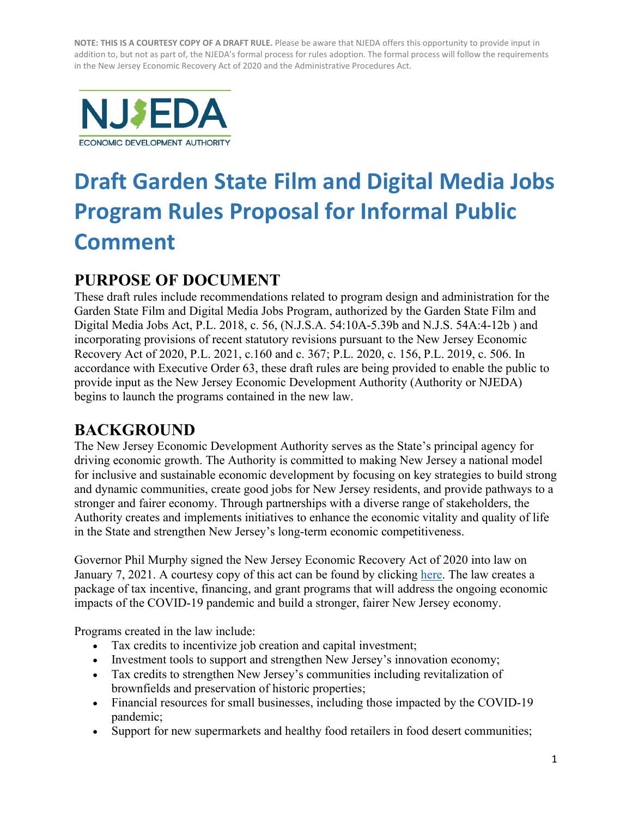

# **Draft Garden State Film and Digital Media Jobs Program Rules Proposal for Informal Public Comment**

# **PURPOSE OF DOCUMENT**

These draft rules include recommendations related to program design and administration for the Garden State Film and Digital Media Jobs Program, authorized by the Garden State Film and Digital Media Jobs Act, P.L. 2018, c. 56, (N.J.S.A. 54:10A-5.39b and N.J.S. 54A:4-12b ) and incorporating provisions of recent statutory revisions pursuant to the New Jersey Economic Recovery Act of 2020, P.L. 2021, c.160 and c. 367; P.L. 2020, c. 156, P.L. 2019, c. 506. In accordance with Executive Order 63, these draft rules are being provided to enable the public to provide input as the New Jersey Economic Development Authority (Authority or NJEDA) begins to launch the programs contained in the new law.

# **BACKGROUND**

The New Jersey Economic Development Authority serves as the State's principal agency for driving economic growth. The Authority is committed to making New Jersey a national model for inclusive and sustainable economic development by focusing on key strategies to build strong and dynamic communities, create good jobs for New Jersey residents, and provide pathways to a stronger and fairer economy. Through partnerships with a diverse range of stakeholders, the Authority creates and implements initiatives to enhance the economic vitality and quality of life in the State and strengthen New Jersey's long-term economic competitiveness.

Governor Phil Murphy signed the New Jersey Economic Recovery Act of 2020 into law on January 7, 2021. A courtesy copy of this act can be found by clicking [here.](https://www.njeda.com/economicrecoveryact/a4_r1-njera-pl-2020-c156-5/) The law creates a package of tax incentive, financing, and grant programs that will address the ongoing economic impacts of the COVID-19 pandemic and build a stronger, fairer New Jersey economy.

Programs created in the law include:

- Tax credits to incentivize job creation and capital investment;
- Investment tools to support and strengthen New Jersey's innovation economy;
- Tax credits to strengthen New Jersey's communities including revitalization of brownfields and preservation of historic properties;
- Financial resources for small businesses, including those impacted by the COVID-19 pandemic;
- Support for new supermarkets and healthy food retailers in food desert communities;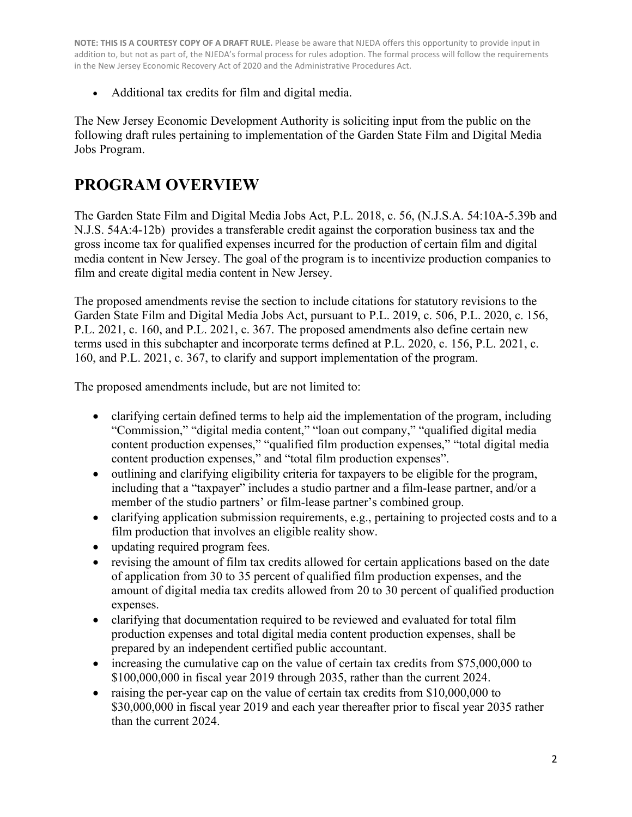• Additional tax credits for film and digital media.

The New Jersey Economic Development Authority is soliciting input from the public on the following draft rules pertaining to implementation of the Garden State Film and Digital Media Jobs Program.

# **PROGRAM OVERVIEW**

The Garden State Film and Digital Media Jobs Act, P.L. 2018, c. 56, (N.J.S.A. 54:10A-5.39b and N.J.S. 54A:4-12b) provides a transferable credit against the corporation business tax and the gross income tax for qualified expenses incurred for the production of certain film and digital media content in New Jersey. The goal of the program is to incentivize production companies to film and create digital media content in New Jersey.

The proposed amendments revise the section to include citations for statutory revisions to the Garden State Film and Digital Media Jobs Act, pursuant to P.L. 2019, c. 506, P.L. 2020, c. 156, P.L. 2021, c. 160, and P.L. 2021, c. 367. The proposed amendments also define certain new terms used in this subchapter and incorporate terms defined at P.L. 2020, c. 156, P.L. 2021, c. 160, and P.L. 2021, c. 367, to clarify and support implementation of the program.

The proposed amendments include, but are not limited to:

- clarifying certain defined terms to help aid the implementation of the program, including "Commission," "digital media content," "loan out company," "qualified digital media content production expenses," "qualified film production expenses," "total digital media content production expenses," and "total film production expenses".
- outlining and clarifying eligibility criteria for taxpayers to be eligible for the program, including that a "taxpayer" includes a studio partner and a film-lease partner, and/or a member of the studio partners' or film-lease partner's combined group.
- clarifying application submission requirements, e.g., pertaining to projected costs and to a film production that involves an eligible reality show.
- updating required program fees.
- revising the amount of film tax credits allowed for certain applications based on the date of application from 30 to 35 percent of qualified film production expenses, and the amount of digital media tax credits allowed from 20 to 30 percent of qualified production expenses.
- clarifying that documentation required to be reviewed and evaluated for total film production expenses and total digital media content production expenses, shall be prepared by an independent certified public accountant.
- increasing the cumulative cap on the value of certain tax credits from \$75,000,000 to \$100,000,000 in fiscal year 2019 through 2035, rather than the current 2024.
- raising the per-year cap on the value of certain tax credits from \$10,000,000 to \$30,000,000 in fiscal year 2019 and each year thereafter prior to fiscal year 2035 rather than the current 2024.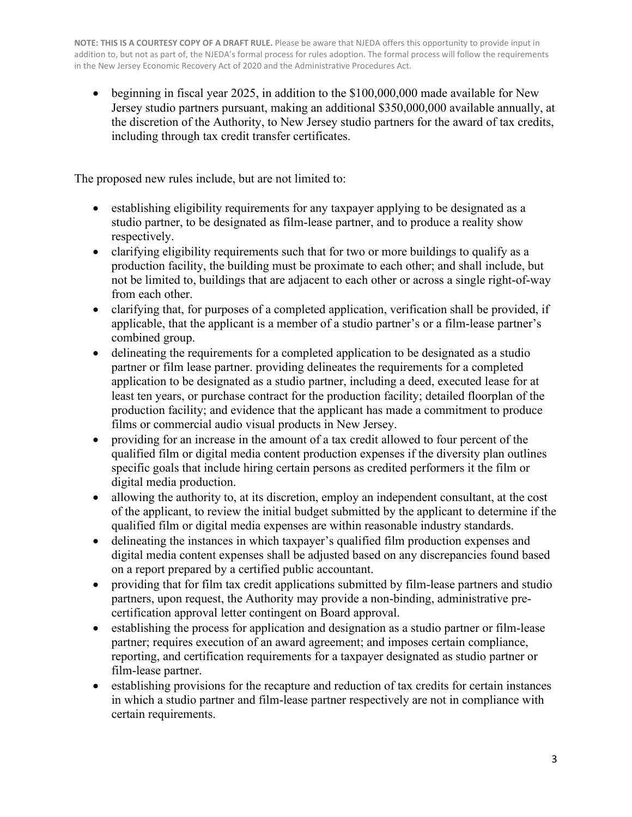• beginning in fiscal year 2025, in addition to the \$100,000,000 made available for New Jersey studio partners pursuant, making an additional \$350,000,000 available annually, at the discretion of the Authority, to New Jersey studio partners for the award of tax credits, including through tax credit transfer certificates.

The proposed new rules include, but are not limited to:

- establishing eligibility requirements for any taxpayer applying to be designated as a studio partner, to be designated as film-lease partner, and to produce a reality show respectively.
- clarifying eligibility requirements such that for two or more buildings to qualify as a production facility, the building must be proximate to each other; and shall include, but not be limited to, buildings that are adjacent to each other or across a single right-of-way from each other.
- clarifying that, for purposes of a completed application, verification shall be provided, if applicable, that the applicant is a member of a studio partner's or a film-lease partner's combined group.
- delineating the requirements for a completed application to be designated as a studio partner or film lease partner. providing delineates the requirements for a completed application to be designated as a studio partner, including a deed, executed lease for at least ten years, or purchase contract for the production facility; detailed floorplan of the production facility; and evidence that the applicant has made a commitment to produce films or commercial audio visual products in New Jersey.
- providing for an increase in the amount of a tax credit allowed to four percent of the qualified film or digital media content production expenses if the diversity plan outlines specific goals that include hiring certain persons as credited performers it the film or digital media production.
- allowing the authority to, at its discretion, employ an independent consultant, at the cost of the applicant, to review the initial budget submitted by the applicant to determine if the qualified film or digital media expenses are within reasonable industry standards.
- delineating the instances in which taxpayer's qualified film production expenses and digital media content expenses shall be adjusted based on any discrepancies found based on a report prepared by a certified public accountant.
- providing that for film tax credit applications submitted by film-lease partners and studio partners, upon request, the Authority may provide a non-binding, administrative precertification approval letter contingent on Board approval.
- establishing the process for application and designation as a studio partner or film-lease partner; requires execution of an award agreement; and imposes certain compliance, reporting, and certification requirements for a taxpayer designated as studio partner or film-lease partner.
- establishing provisions for the recapture and reduction of tax credits for certain instances in which a studio partner and film-lease partner respectively are not in compliance with certain requirements.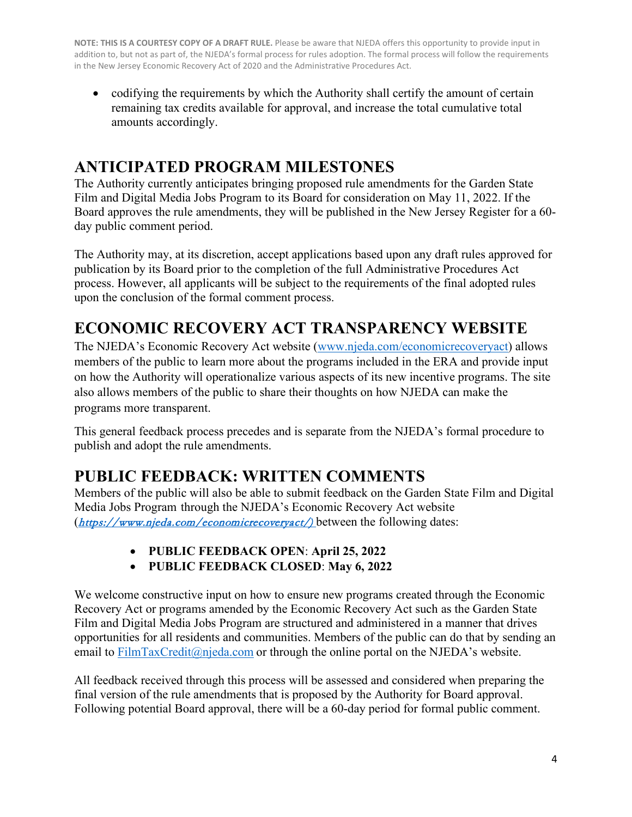• codifying the requirements by which the Authority shall certify the amount of certain remaining tax credits available for approval, and increase the total cumulative total amounts accordingly.

# **ANTICIPATED PROGRAM MILESTONES**

The Authority currently anticipates bringing proposed rule amendments for the Garden State Film and Digital Media Jobs Program to its Board for consideration on May 11, 2022. If the Board approves the rule amendments, they will be published in the New Jersey Register for a 60 day public comment period.

The Authority may, at its discretion, accept applications based upon any draft rules approved for publication by its Board prior to the completion of the full Administrative Procedures Act process. However, all applicants will be subject to the requirements of the final adopted rules upon the conclusion of the formal comment process.

# **ECONOMIC RECOVERY ACT TRANSPARENCY WEBSITE**

The NJEDA's Economic Recovery Act website [\(www.njeda.com/economicrecoveryact\)](http://www.njeda.com/economicrecoveryactx) allows members of the public to learn more about the programs included in the ERA and provide input on how the Authority will operationalize various aspects of its new incentive programs. The site also allows members of the public to share their thoughts on how NJEDA can make the programs more transparent.

This general feedback process precedes and is separate from the NJEDA's formal procedure to publish and adopt the rule amendments.

# **PUBLIC FEEDBACK: WRITTEN COMMENTS**

Members of the public will also be able to submit feedback on the Garden State Film and Digital Media Jobs Program through the NJEDA's Economic Recovery Act website ([https://www.njeda.com/economicrecoveryact/\)](https://www.njeda.com/economicrecoveryact/) between the following dates:

- **PUBLIC FEEDBACK OPEN**: **April 25, 2022**
- **PUBLIC FEEDBACK CLOSED**: **May 6, 2022**

We welcome constructive input on how to ensure new programs created through the Economic Recovery Act or programs amended by the Economic Recovery Act such as the Garden State Film and Digital Media Jobs Program are structured and administered in a manner that drives opportunities for all residents and communities. Members of the public can do that by sending an email to [FilmTaxCredit@njeda.com](mailto:FilmTaxCredit@njeda.com) or through the online portal on the NJEDA's website.

All feedback received through this process will be assessed and considered when preparing the final version of the rule amendments that is proposed by the Authority for Board approval. Following potential Board approval, there will be a 60-day period for formal public comment.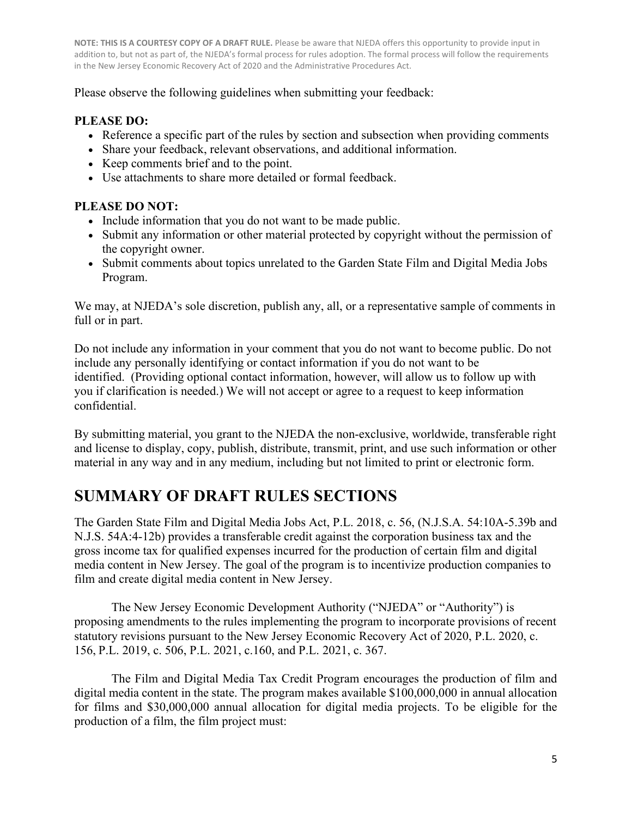Please observe the following guidelines when submitting your feedback:

# **PLEASE DO:**

- Reference a specific part of the rules by section and subsection when providing comments
- Share your feedback, relevant observations, and additional information.
- Keep comments brief and to the point.
- Use attachments to share more detailed or formal feedback.

# **PLEASE DO NOT:**

- Include information that you do not want to be made public.
- Submit any information or other material protected by copyright without the permission of the copyright owner.
- Submit comments about topics unrelated to the Garden State Film and Digital Media Jobs Program.

We may, at NJEDA's sole discretion, publish any, all, or a representative sample of comments in full or in part.

Do not include any information in your comment that you do not want to become public. Do not include any personally identifying or contact information if you do not want to be identified. (Providing optional contact information, however, will allow us to follow up with you if clarification is needed.) We will not accept or agree to a request to keep information confidential.

By submitting material, you grant to the NJEDA the non-exclusive, worldwide, transferable right and license to display, copy, publish, distribute, transmit, print, and use such information or other material in any way and in any medium, including but not limited to print or electronic form.

# **SUMMARY OF DRAFT RULES SECTIONS**

The Garden State Film and Digital Media Jobs Act, P.L. 2018, c. 56, (N.J.S.A. 54:10A-5.39b and N.J.S. 54A:4-12b) provides a transferable credit against the corporation business tax and the gross income tax for qualified expenses incurred for the production of certain film and digital media content in New Jersey. The goal of the program is to incentivize production companies to film and create digital media content in New Jersey.

The New Jersey Economic Development Authority ("NJEDA" or "Authority") is proposing amendments to the rules implementing the program to incorporate provisions of recent statutory revisions pursuant to the New Jersey Economic Recovery Act of 2020, P.L. 2020, c. 156, P.L. 2019, c. 506, P.L. 2021, c.160, and P.L. 2021, c. 367.

The Film and Digital Media Tax Credit Program encourages the production of film and digital media content in the state. The program makes available \$100,000,000 in annual allocation for films and \$30,000,000 annual allocation for digital media projects. To be eligible for the production of a film, the film project must: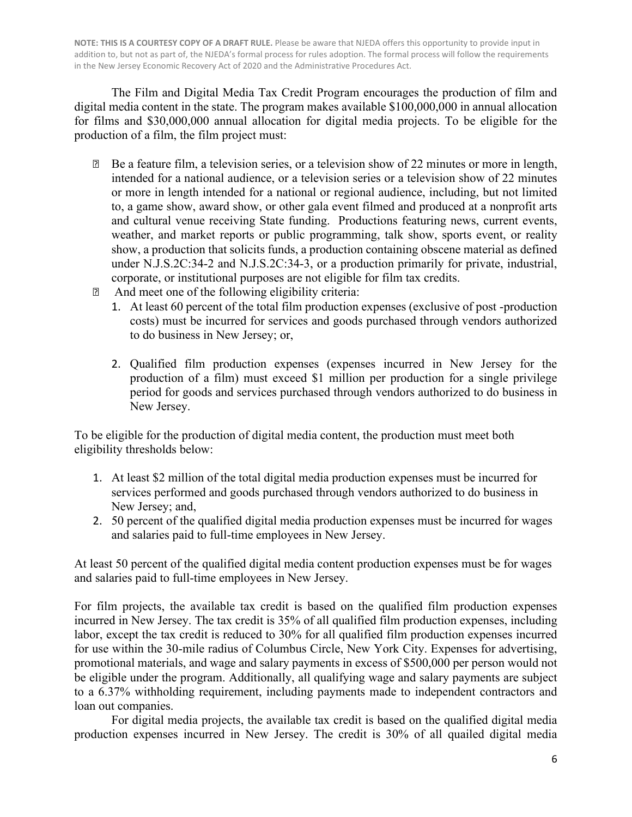The Film and Digital Media Tax Credit Program encourages the production of film and digital media content in the state. The program makes available \$100,000,000 in annual allocation for films and \$30,000,000 annual allocation for digital media projects. To be eligible for the production of a film, the film project must:

- Be a feature film, a television series, or a television show of 22 minutes or more in length, intended for a national audience, or a television series or a television show of 22 minutes or more in length intended for a national or regional audience, including, but not limited to, a game show, award show, or other gala event filmed and produced at a nonprofit arts and cultural venue receiving State funding. Productions featuring news, current events, weather, and market reports or public programming, talk show, sports event, or reality show, a production that solicits funds, a production containing obscene material as defined under N.J.S.2C:34-2 and N.J.S.2C:34-3, or a production primarily for private, industrial, corporate, or institutional purposes are not eligible for film tax credits.
- And meet one of the following eligibility criteria:
	- 1. At least 60 percent of the total film production expenses (exclusive of post -production costs) must be incurred for services and goods purchased through vendors authorized to do business in New Jersey; or,
	- 2. Qualified film production expenses (expenses incurred in New Jersey for the production of a film) must exceed \$1 million per production for a single privilege period for goods and services purchased through vendors authorized to do business in New Jersey.

To be eligible for the production of digital media content, the production must meet both eligibility thresholds below:

- 1. At least \$2 million of the total digital media production expenses must be incurred for services performed and goods purchased through vendors authorized to do business in New Jersey; and,
- 2. 50 percent of the qualified digital media production expenses must be incurred for wages and salaries paid to full-time employees in New Jersey.

At least 50 percent of the qualified digital media content production expenses must be for wages and salaries paid to full-time employees in New Jersey.

For film projects, the available tax credit is based on the qualified film production expenses incurred in New Jersey. The tax credit is 35% of all qualified film production expenses, including labor, except the tax credit is reduced to 30% for all qualified film production expenses incurred for use within the 30-mile radius of Columbus Circle, New York City. Expenses for advertising, promotional materials, and wage and salary payments in excess of \$500,000 per person would not be eligible under the program. Additionally, all qualifying wage and salary payments are subject to a 6.37% withholding requirement, including payments made to independent contractors and loan out companies.

For digital media projects, the available tax credit is based on the qualified digital media production expenses incurred in New Jersey. The credit is 30% of all quailed digital media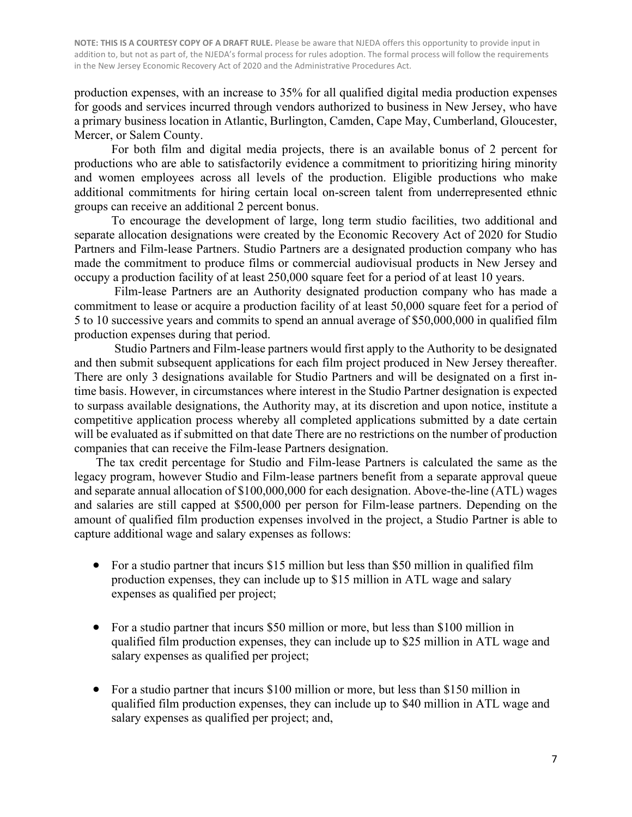production expenses, with an increase to 35% for all qualified digital media production expenses for goods and services incurred through vendors authorized to business in New Jersey, who have a primary business location in Atlantic, Burlington, Camden, Cape May, Cumberland, Gloucester, Mercer, or Salem County.

For both film and digital media projects, there is an available bonus of 2 percent for productions who are able to satisfactorily evidence a commitment to prioritizing hiring minority and women employees across all levels of the production. Eligible productions who make additional commitments for hiring certain local on-screen talent from underrepresented ethnic groups can receive an additional 2 percent bonus.

To encourage the development of large, long term studio facilities, two additional and separate allocation designations were created by the Economic Recovery Act of 2020 for Studio Partners and Film-lease Partners. Studio Partners are a designated production company who has made the commitment to produce films or commercial audiovisual products in New Jersey and occupy a production facility of at least 250,000 square feet for a period of at least 10 years.

Film-lease Partners are an Authority designated production company who has made a commitment to lease or acquire a production facility of at least 50,000 square feet for a period of 5 to 10 successive years and commits to spend an annual average of \$50,000,000 in qualified film production expenses during that period.

Studio Partners and Film-lease partners would first apply to the Authority to be designated and then submit subsequent applications for each film project produced in New Jersey thereafter. There are only 3 designations available for Studio Partners and will be designated on a first intime basis. However, in circumstances where interest in the Studio Partner designation is expected to surpass available designations, the Authority may, at its discretion and upon notice, institute a competitive application process whereby all completed applications submitted by a date certain will be evaluated as if submitted on that date There are no restrictions on the number of production companies that can receive the Film-lease Partners designation.

The tax credit percentage for Studio and Film-lease Partners is calculated the same as the legacy program, however Studio and Film-lease partners benefit from a separate approval queue and separate annual allocation of \$100,000,000 for each designation. Above-the-line (ATL) wages and salaries are still capped at \$500,000 per person for Film-lease partners. Depending on the amount of qualified film production expenses involved in the project, a Studio Partner is able to capture additional wage and salary expenses as follows:

- For a studio partner that incurs \$15 million but less than \$50 million in qualified film production expenses, they can include up to \$15 million in ATL wage and salary expenses as qualified per project;
- For a studio partner that incurs \$50 million or more, but less than \$100 million in qualified film production expenses, they can include up to \$25 million in ATL wage and salary expenses as qualified per project;
- For a studio partner that incurs \$100 million or more, but less than \$150 million in qualified film production expenses, they can include up to \$40 million in ATL wage and salary expenses as qualified per project; and,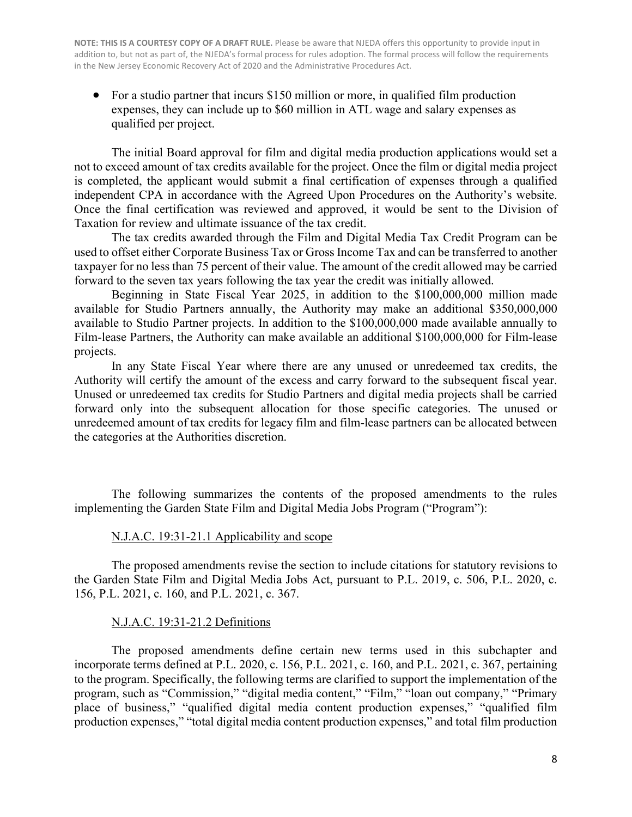• For a studio partner that incurs \$150 million or more, in qualified film production expenses, they can include up to \$60 million in ATL wage and salary expenses as qualified per project.

The initial Board approval for film and digital media production applications would set a not to exceed amount of tax credits available for the project. Once the film or digital media project is completed, the applicant would submit a final certification of expenses through a qualified independent CPA in accordance with the Agreed Upon Procedures on the Authority's website. Once the final certification was reviewed and approved, it would be sent to the Division of Taxation for review and ultimate issuance of the tax credit.

The tax credits awarded through the Film and Digital Media Tax Credit Program can be used to offset either Corporate Business Tax or Gross Income Tax and can be transferred to another taxpayer for no less than 75 percent of their value. The amount of the credit allowed may be carried forward to the seven tax years following the tax year the credit was initially allowed.

Beginning in State Fiscal Year 2025, in addition to the \$100,000,000 million made available for Studio Partners annually, the Authority may make an additional \$350,000,000 available to Studio Partner projects. In addition to the \$100,000,000 made available annually to Film-lease Partners, the Authority can make available an additional \$100,000,000 for Film-lease projects.

In any State Fiscal Year where there are any unused or unredeemed tax credits, the Authority will certify the amount of the excess and carry forward to the subsequent fiscal year. Unused or unredeemed tax credits for Studio Partners and digital media projects shall be carried forward only into the subsequent allocation for those specific categories. The unused or unredeemed amount of tax credits for legacy film and film-lease partners can be allocated between the categories at the Authorities discretion.

The following summarizes the contents of the proposed amendments to the rules implementing the Garden State Film and Digital Media Jobs Program ("Program"):

#### N.J.A.C. 19:31-21.1 Applicability and scope

The proposed amendments revise the section to include citations for statutory revisions to the Garden State Film and Digital Media Jobs Act, pursuant to P.L. 2019, c. 506, P.L. 2020, c. 156, P.L. 2021, c. 160, and P.L. 2021, c. 367.

#### N.J.A.C. 19:31-21.2 Definitions

The proposed amendments define certain new terms used in this subchapter and incorporate terms defined at P.L. 2020, c. 156, P.L. 2021, c. 160, and P.L. 2021, c. 367, pertaining to the program. Specifically, the following terms are clarified to support the implementation of the program, such as "Commission," "digital media content," "Film," "loan out company," "Primary place of business," "qualified digital media content production expenses," "qualified film production expenses," "total digital media content production expenses," and total film production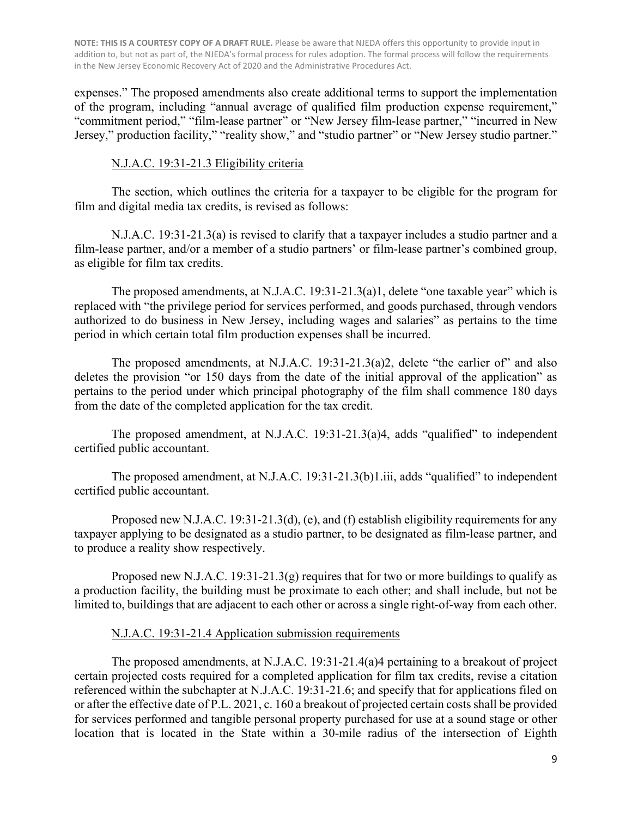expenses." The proposed amendments also create additional terms to support the implementation of the program, including "annual average of qualified film production expense requirement," "commitment period," "film-lease partner" or "New Jersey film-lease partner," "incurred in New Jersey," production facility," "reality show," and "studio partner" or "New Jersey studio partner."

### N.J.A.C. 19:31-21.3 Eligibility criteria

The section, which outlines the criteria for a taxpayer to be eligible for the program for film and digital media tax credits, is revised as follows:

 N.J.A.C. 19:31-21.3(a) is revised to clarify that a taxpayer includes a studio partner and a film-lease partner, and/or a member of a studio partners' or film-lease partner's combined group, as eligible for film tax credits.

The proposed amendments, at N.J.A.C. 19:31-21.3(a)1, delete "one taxable year" which is replaced with "the privilege period for services performed, and goods purchased, through vendors authorized to do business in New Jersey, including wages and salaries" as pertains to the time period in which certain total film production expenses shall be incurred.

The proposed amendments, at N.J.A.C. 19:31-21.3(a)2, delete "the earlier of" and also deletes the provision "or 150 days from the date of the initial approval of the application" as pertains to the period under which principal photography of the film shall commence 180 days from the date of the completed application for the tax credit.

The proposed amendment, at N.J.A.C. 19:31-21.3(a)4, adds "qualified" to independent certified public accountant.

The proposed amendment, at N.J.A.C. 19:31-21.3(b)1.iii, adds "qualified" to independent certified public accountant.

Proposed new N.J.A.C. 19:31-21.3(d), (e), and (f) establish eligibility requirements for any taxpayer applying to be designated as a studio partner, to be designated as film-lease partner, and to produce a reality show respectively.

Proposed new N.J.A.C. 19:31-21.3(g) requires that for two or more buildings to qualify as a production facility, the building must be proximate to each other; and shall include, but not be limited to, buildings that are adjacent to each other or across a single right-of-way from each other.

## N.J.A.C. 19:31-21.4 Application submission requirements

The proposed amendments, at N.J.A.C. 19:31-21.4(a)4 pertaining to a breakout of project certain projected costs required for a completed application for film tax credits, revise a citation referenced within the subchapter at N.J.A.C. 19:31-21.6; and specify that for applications filed on or after the effective date of P.L. 2021, c. 160 a breakout of projected certain costs shall be provided for services performed and tangible personal property purchased for use at a sound stage or other location that is located in the State within a 30-mile radius of the intersection of Eighth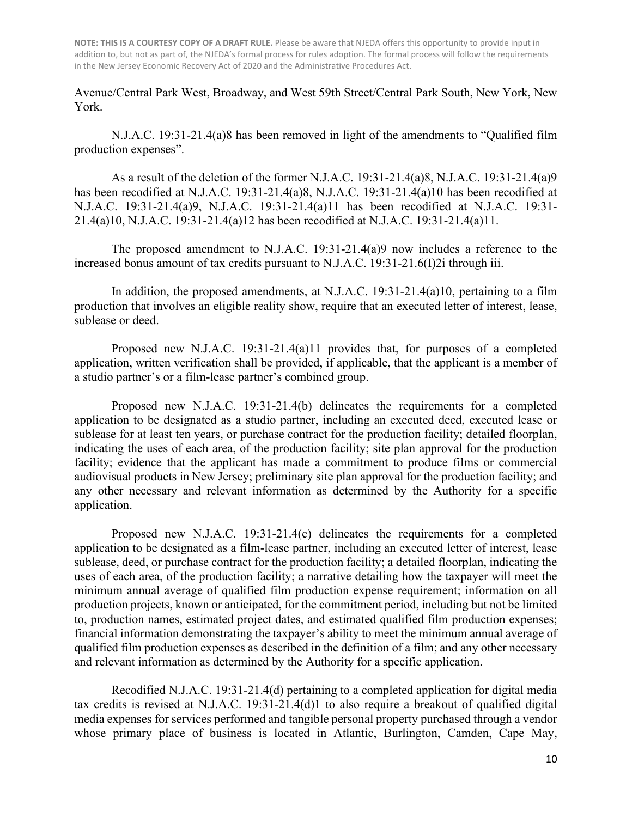Avenue/Central Park West, Broadway, and West 59th Street/Central Park South, New York, New York.

N.J.A.C. 19:31-21.4(a)8 has been removed in light of the amendments to "Qualified film production expenses".

As a result of the deletion of the former N.J.A.C. 19:31-21.4(a)8, N.J.A.C. 19:31-21.4(a)9 has been recodified at N.J.A.C. 19:31-21.4(a)8, N.J.A.C. 19:31-21.4(a)10 has been recodified at N.J.A.C. 19:31-21.4(a)9, N.J.A.C. 19:31-21.4(a)11 has been recodified at N.J.A.C. 19:31- 21.4(a)10, N.J.A.C. 19:31-21.4(a)12 has been recodified at N.J.A.C. 19:31-21.4(a)11.

The proposed amendment to N.J.A.C. 19:31-21.4(a)9 now includes a reference to the increased bonus amount of tax credits pursuant to N.J.A.C. 19:31-21.6(I)2i through iii.

In addition, the proposed amendments, at N.J.A.C. 19:31-21.4(a)10, pertaining to a film production that involves an eligible reality show, require that an executed letter of interest, lease, sublease or deed.

Proposed new N.J.A.C. 19:31-21.4(a)11 provides that, for purposes of a completed application, written verification shall be provided, if applicable, that the applicant is a member of a studio partner's or a film-lease partner's combined group.

Proposed new N.J.A.C. 19:31-21.4(b) delineates the requirements for a completed application to be designated as a studio partner, including an executed deed, executed lease or sublease for at least ten years, or purchase contract for the production facility; detailed floorplan, indicating the uses of each area, of the production facility; site plan approval for the production facility; evidence that the applicant has made a commitment to produce films or commercial audiovisual products in New Jersey; preliminary site plan approval for the production facility; and any other necessary and relevant information as determined by the Authority for a specific application.

Proposed new N.J.A.C. 19:31-21.4(c) delineates the requirements for a completed application to be designated as a film-lease partner, including an executed letter of interest, lease sublease, deed, or purchase contract for the production facility; a detailed floorplan, indicating the uses of each area, of the production facility; a narrative detailing how the taxpayer will meet the minimum annual average of qualified film production expense requirement; information on all production projects, known or anticipated, for the commitment period, including but not be limited to, production names, estimated project dates, and estimated qualified film production expenses; financial information demonstrating the taxpayer's ability to meet the minimum annual average of qualified film production expenses as described in the definition of a film; and any other necessary and relevant information as determined by the Authority for a specific application.

Recodified N.J.A.C. 19:31-21.4(d) pertaining to a completed application for digital media tax credits is revised at N.J.A.C. 19:31-21.4(d)1 to also require a breakout of qualified digital media expenses for services performed and tangible personal property purchased through a vendor whose primary place of business is located in Atlantic, Burlington, Camden, Cape May,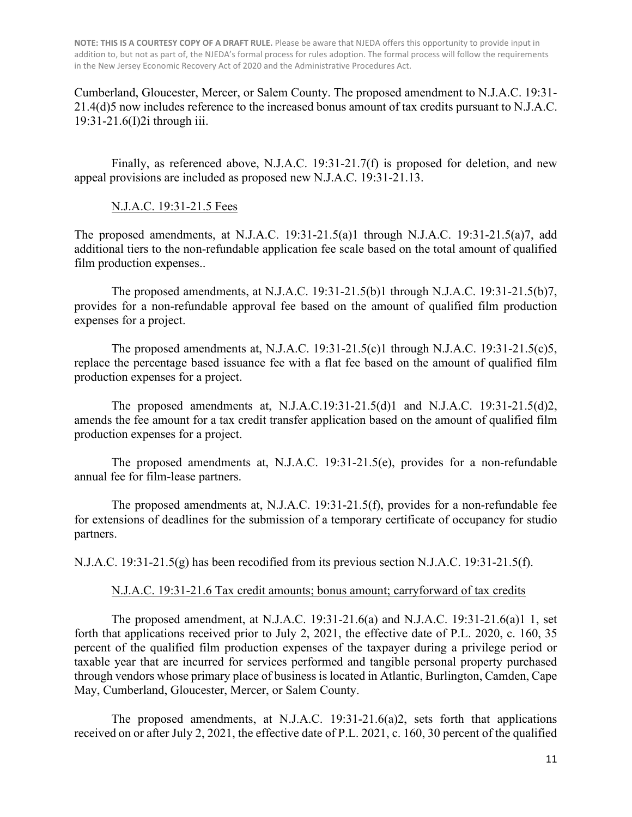Cumberland, Gloucester, Mercer, or Salem County. The proposed amendment to N.J.A.C. 19:31- 21.4(d)5 now includes reference to the increased bonus amount of tax credits pursuant to N.J.A.C. 19:31-21.6(I)2i through iii.

Finally, as referenced above, N.J.A.C. 19:31-21.7(f) is proposed for deletion, and new appeal provisions are included as proposed new N.J.A.C. 19:31-21.13.

#### N.J.A.C. 19:31-21.5 Fees

The proposed amendments, at N.J.A.C. 19:31-21.5(a)1 through N.J.A.C. 19:31-21.5(a)7, add additional tiers to the non-refundable application fee scale based on the total amount of qualified film production expenses..

The proposed amendments, at N.J.A.C. 19:31-21.5(b)1 through N.J.A.C. 19:31-21.5(b)7, provides for a non-refundable approval fee based on the amount of qualified film production expenses for a project.

The proposed amendments at, N.J.A.C. 19:31-21.5(c)1 through N.J.A.C. 19:31-21.5(c)5, replace the percentage based issuance fee with a flat fee based on the amount of qualified film production expenses for a project.

The proposed amendments at, N.J.A.C.19:31-21.5(d)1 and N.J.A.C. 19:31-21.5(d)2, amends the fee amount for a tax credit transfer application based on the amount of qualified film production expenses for a project.

The proposed amendments at, N.J.A.C. 19:31-21.5(e), provides for a non-refundable annual fee for film-lease partners.

The proposed amendments at, N.J.A.C. 19:31-21.5(f), provides for a non-refundable fee for extensions of deadlines for the submission of a temporary certificate of occupancy for studio partners.

N.J.A.C. 19:31-21.5(g) has been recodified from its previous section N.J.A.C. 19:31-21.5(f).

#### N.J.A.C. 19:31-21.6 Tax credit amounts; bonus amount; carryforward of tax credits

The proposed amendment, at N.J.A.C. 19:31-21.6(a) and N.J.A.C. 19:31-21.6(a)1 1, set forth that applications received prior to July 2, 2021, the effective date of P.L. 2020, c. 160, 35 percent of the qualified film production expenses of the taxpayer during a privilege period or taxable year that are incurred for services performed and tangible personal property purchased through vendors whose primary place of business is located in Atlantic, Burlington, Camden, Cape May, Cumberland, Gloucester, Mercer, or Salem County.

The proposed amendments, at N.J.A.C. 19:31-21.6(a)2, sets forth that applications received on or after July 2, 2021, the effective date of P.L. 2021, c. 160, 30 percent of the qualified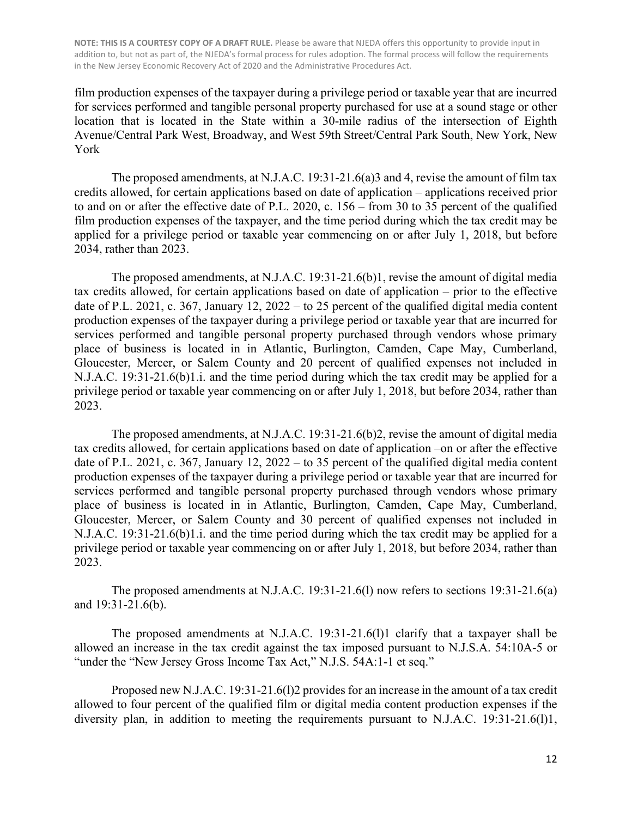film production expenses of the taxpayer during a privilege period or taxable year that are incurred for services performed and tangible personal property purchased for use at a sound stage or other location that is located in the State within a 30-mile radius of the intersection of Eighth Avenue/Central Park West, Broadway, and West 59th Street/Central Park South, New York, New York

The proposed amendments, at N.J.A.C. 19:31-21.6(a)3 and 4, revise the amount of film tax credits allowed, for certain applications based on date of application – applications received prior to and on or after the effective date of P.L. 2020, c. 156 – from 30 to 35 percent of the qualified film production expenses of the taxpayer, and the time period during which the tax credit may be applied for a privilege period or taxable year commencing on or after July 1, 2018, but before 2034, rather than 2023.

The proposed amendments, at N.J.A.C. 19:31-21.6(b)1, revise the amount of digital media tax credits allowed, for certain applications based on date of application – prior to the effective date of P.L. 2021, c. 367, January 12, 2022 – to 25 percent of the qualified digital media content production expenses of the taxpayer during a privilege period or taxable year that are incurred for services performed and tangible personal property purchased through vendors whose primary place of business is located in in Atlantic, Burlington, Camden, Cape May, Cumberland, Gloucester, Mercer, or Salem County and 20 percent of qualified expenses not included in N.J.A.C. 19:31-21.6(b)1.i. and the time period during which the tax credit may be applied for a privilege period or taxable year commencing on or after July 1, 2018, but before 2034, rather than 2023.

The proposed amendments, at N.J.A.C. 19:31-21.6(b)2, revise the amount of digital media tax credits allowed, for certain applications based on date of application –on or after the effective date of P.L. 2021, c. 367, January 12, 2022 – to 35 percent of the qualified digital media content production expenses of the taxpayer during a privilege period or taxable year that are incurred for services performed and tangible personal property purchased through vendors whose primary place of business is located in in Atlantic, Burlington, Camden, Cape May, Cumberland, Gloucester, Mercer, or Salem County and 30 percent of qualified expenses not included in N.J.A.C. 19:31-21.6(b)1.i. and the time period during which the tax credit may be applied for a privilege period or taxable year commencing on or after July 1, 2018, but before 2034, rather than 2023.

The proposed amendments at N.J.A.C. 19:31-21.6(l) now refers to sections 19:31-21.6(a) and 19:31-21.6(b).

The proposed amendments at N.J.A.C. 19:31-21.6(l)1 clarify that a taxpayer shall be allowed an increase in the tax credit against the tax imposed pursuant to N.J.S.A. 54:10A-5 or "under the "New Jersey Gross Income Tax Act," N.J.S. 54A:1-1 et seq."

Proposed new N.J.A.C. 19:31-21.6(l)2 provides for an increase in the amount of a tax credit allowed to four percent of the qualified film or digital media content production expenses if the diversity plan, in addition to meeting the requirements pursuant to N.J.A.C. 19:31-21.6(1)1,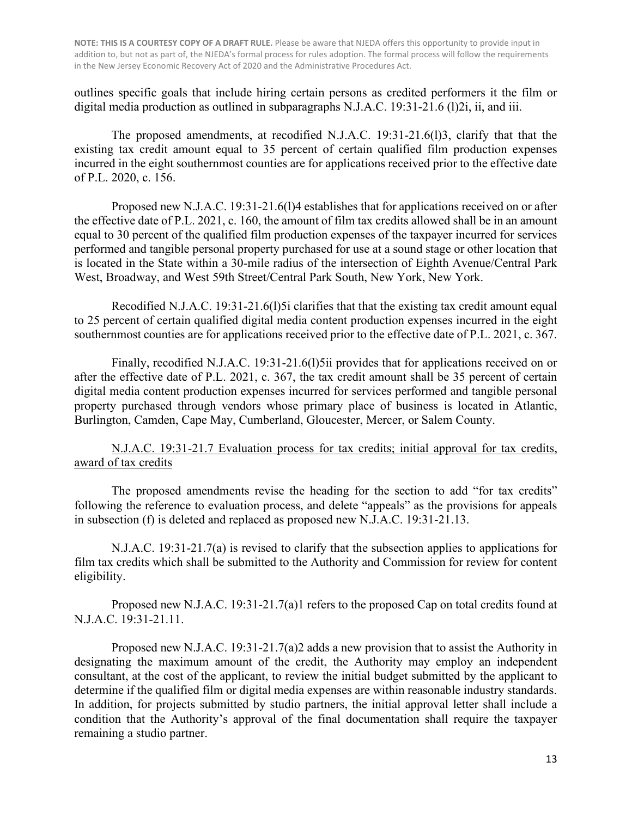outlines specific goals that include hiring certain persons as credited performers it the film or digital media production as outlined in subparagraphs N.J.A.C. 19:31-21.6 (1)2i, ii, and iii.

The proposed amendments, at recodified N.J.A.C. 19:31-21.6(l)3, clarify that that the existing tax credit amount equal to 35 percent of certain qualified film production expenses incurred in the eight southernmost counties are for applications received prior to the effective date of P.L. 2020, c. 156.

Proposed new N.J.A.C. 19:31-21.6(l)4 establishes that for applications received on or after the effective date of P.L. 2021, c. 160, the amount of film tax credits allowed shall be in an amount equal to 30 percent of the qualified film production expenses of the taxpayer incurred for services performed and tangible personal property purchased for use at a sound stage or other location that is located in the State within a 30-mile radius of the intersection of Eighth Avenue/Central Park West, Broadway, and West 59th Street/Central Park South, New York, New York.

Recodified N.J.A.C. 19:31-21.6(1)5i clarifies that that the existing tax credit amount equal to 25 percent of certain qualified digital media content production expenses incurred in the eight southernmost counties are for applications received prior to the effective date of P.L. 2021, c. 367.

Finally, recodified N.J.A.C. 19:31-21.6(1)5ii provides that for applications received on or after the effective date of P.L. 2021, c. 367, the tax credit amount shall be 35 percent of certain digital media content production expenses incurred for services performed and tangible personal property purchased through vendors whose primary place of business is located in Atlantic, Burlington, Camden, Cape May, Cumberland, Gloucester, Mercer, or Salem County.

N.J.A.C. 19:31-21.7 Evaluation process for tax credits; initial approval for tax credits, award of tax credits

The proposed amendments revise the heading for the section to add "for tax credits" following the reference to evaluation process, and delete "appeals" as the provisions for appeals in subsection (f) is deleted and replaced as proposed new N.J.A.C. 19:31-21.13.

N.J.A.C. 19:31-21.7(a) is revised to clarify that the subsection applies to applications for film tax credits which shall be submitted to the Authority and Commission for review for content eligibility.

Proposed new N.J.A.C. 19:31-21.7(a)1 refers to the proposed Cap on total credits found at N.J.A.C. 19:31-21.11.

Proposed new N.J.A.C. 19:31-21.7(a)2 adds a new provision that to assist the Authority in designating the maximum amount of the credit, the Authority may employ an independent consultant, at the cost of the applicant, to review the initial budget submitted by the applicant to determine if the qualified film or digital media expenses are within reasonable industry standards. In addition, for projects submitted by studio partners, the initial approval letter shall include a condition that the Authority's approval of the final documentation shall require the taxpayer remaining a studio partner.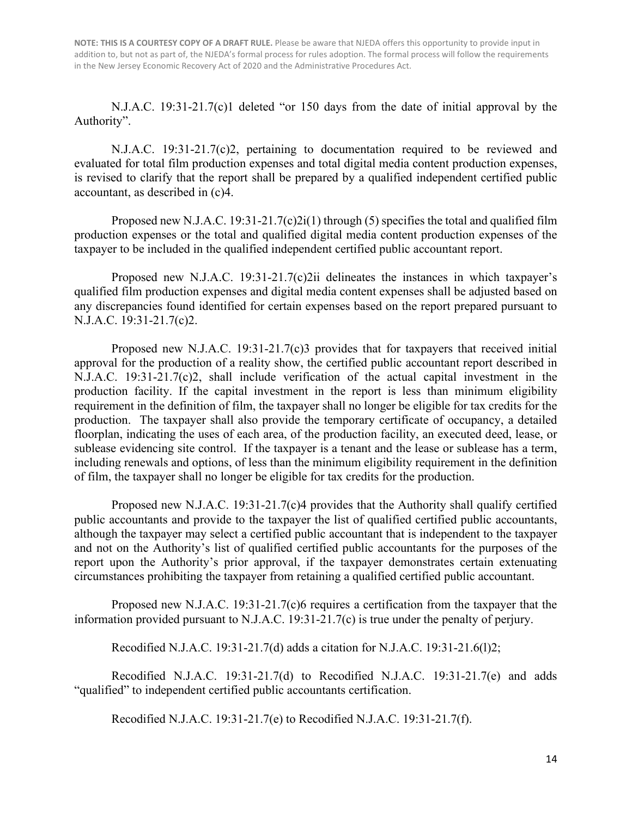N.J.A.C. 19:31-21.7(c)1 deleted "or 150 days from the date of initial approval by the Authority".

N.J.A.C. 19:31-21.7(c)2, pertaining to documentation required to be reviewed and evaluated for total film production expenses and total digital media content production expenses, is revised to clarify that the report shall be prepared by a qualified independent certified public accountant, as described in (c)4.

Proposed new N.J.A.C. 19:31-21.7(c)2i(1) through (5) specifies the total and qualified film production expenses or the total and qualified digital media content production expenses of the taxpayer to be included in the qualified independent certified public accountant report.

Proposed new N.J.A.C.  $19:31-21.7(c)$  delineates the instances in which taxpayer's qualified film production expenses and digital media content expenses shall be adjusted based on any discrepancies found identified for certain expenses based on the report prepared pursuant to N.J.A.C. 19:31-21.7(c)2.

Proposed new N.J.A.C. 19:31-21.7(c)3 provides that for taxpayers that received initial approval for the production of a reality show, the certified public accountant report described in N.J.A.C. 19:31-21.7(c)2, shall include verification of the actual capital investment in the production facility. If the capital investment in the report is less than minimum eligibility requirement in the definition of film, the taxpayer shall no longer be eligible for tax credits for the production. The taxpayer shall also provide the temporary certificate of occupancy, a detailed floorplan, indicating the uses of each area, of the production facility, an executed deed, lease, or sublease evidencing site control. If the taxpayer is a tenant and the lease or sublease has a term, including renewals and options, of less than the minimum eligibility requirement in the definition of film, the taxpayer shall no longer be eligible for tax credits for the production.

Proposed new N.J.A.C. 19:31-21.7(c)4 provides that the Authority shall qualify certified public accountants and provide to the taxpayer the list of qualified certified public accountants, although the taxpayer may select a certified public accountant that is independent to the taxpayer and not on the Authority's list of qualified certified public accountants for the purposes of the report upon the Authority's prior approval, if the taxpayer demonstrates certain extenuating circumstances prohibiting the taxpayer from retaining a qualified certified public accountant.

Proposed new N.J.A.C. 19:31-21.7(c)6 requires a certification from the taxpayer that the information provided pursuant to N.J.A.C. 19:31-21.7(c) is true under the penalty of perjury.

Recodified N.J.A.C. 19:31-21.7(d) adds a citation for N.J.A.C. 19:31-21.6(l)2;

Recodified N.J.A.C. 19:31-21.7(d) to Recodified N.J.A.C. 19:31-21.7(e) and adds "qualified" to independent certified public accountants certification.

Recodified N.J.A.C. 19:31-21.7(e) to Recodified N.J.A.C. 19:31-21.7(f).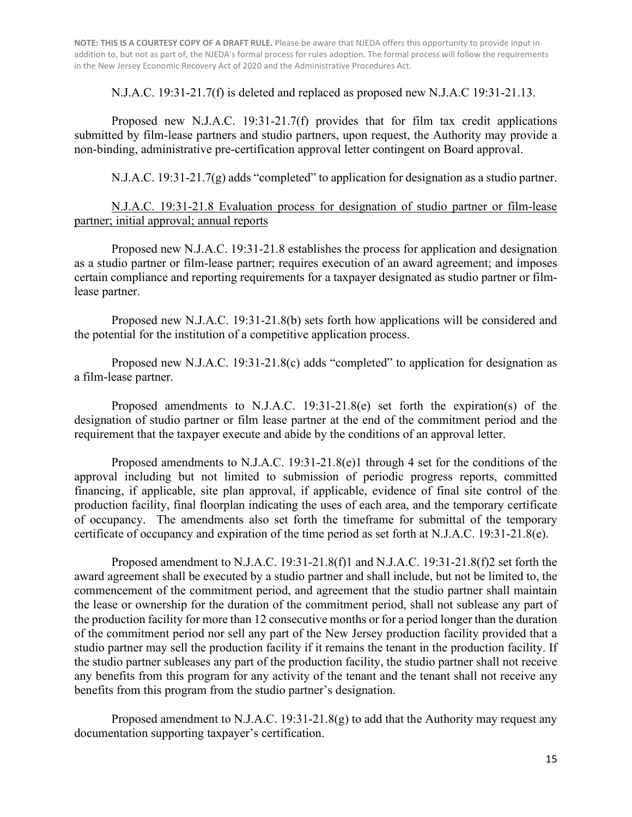N.J.A.C. 19:31-21.7(f) is deleted and replaced as proposed new N.J.A.C 19:31-21.13.

 Proposed new N.J.A.C. 19:31-21.7(f) provides that for film tax credit applications submitted by film-lease partners and studio partners, upon request, the Authority may provide a non-binding, administrative pre-certification approval letter contingent on Board approval.

N.J.A.C. 19:31-21.7(g) adds "completed" to application for designation as a studio partner.

### N.J.A.C. 19:31-21.8 Evaluation process for designation of studio partner or film-lease partner; initial approval; annual reports

 Proposed new N.J.A.C. 19:31-21.8 establishes the process for application and designation as a studio partner or film-lease partner; requires execution of an award agreement; and imposes certain compliance and reporting requirements for a taxpayer designated as studio partner or filmlease partner.

Proposed new N.J.A.C. 19:31-21.8(b) sets forth how applications will be considered and the potential for the institution of a competitive application process.

Proposed new N.J.A.C. 19:31-21.8(c) adds "completed" to application for designation as a film-lease partner.

Proposed amendments to N.J.A.C. 19:31-21.8(e) set forth the expiration(s) of the designation of studio partner or film lease partner at the end of the commitment period and the requirement that the taxpayer execute and abide by the conditions of an approval letter.

Proposed amendments to N.J.A.C. 19:31-21.8(e)1 through 4 set for the conditions of the approval including but not limited to submission of periodic progress reports, committed financing, if applicable, site plan approval, if applicable, evidence of final site control of the production facility, final floorplan indicating the uses of each area, and the temporary certificate of occupancy. The amendments also set forth the timeframe for submittal of the temporary certificate of occupancy and expiration of the time period as set forth at N.J.A.C. 19:31-21.8(e).

Proposed amendment to N.J.A.C. 19:31-21.8(f)1 and N.J.A.C. 19:31-21.8(f)2 set forth the award agreement shall be executed by a studio partner and shall include, but not be limited to, the commencement of the commitment period, and agreement that the studio partner shall maintain the lease or ownership for the duration of the commitment period, shall not sublease any part of the production facility for more than 12 consecutive months or for a period longer than the duration of the commitment period nor sell any part of the New Jersey production facility provided that a studio partner may sell the production facility if it remains the tenant in the production facility. If the studio partner subleases any part of the production facility, the studio partner shall not receive any benefits from this program for any activity of the tenant and the tenant shall not receive any benefits from this program from the studio partner's designation.

Proposed amendment to N.J.A.C. 19:31-21.8(g) to add that the Authority may request any documentation supporting taxpayer's certification.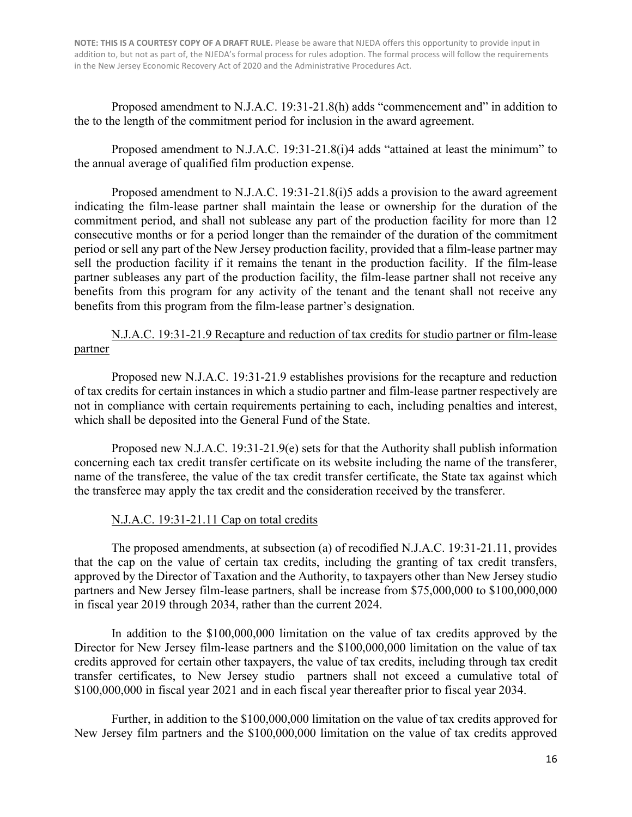Proposed amendment to N.J.A.C. 19:31-21.8(h) adds "commencement and" in addition to the to the length of the commitment period for inclusion in the award agreement.

Proposed amendment to N.J.A.C. 19:31-21.8(i)4 adds "attained at least the minimum" to the annual average of qualified film production expense.

Proposed amendment to N.J.A.C. 19:31-21.8(i)5 adds a provision to the award agreement indicating the film-lease partner shall maintain the lease or ownership for the duration of the commitment period, and shall not sublease any part of the production facility for more than 12 consecutive months or for a period longer than the remainder of the duration of the commitment period or sell any part of the New Jersey production facility, provided that a film-lease partner may sell the production facility if it remains the tenant in the production facility. If the film-lease partner subleases any part of the production facility, the film-lease partner shall not receive any benefits from this program for any activity of the tenant and the tenant shall not receive any benefits from this program from the film-lease partner's designation.

N.J.A.C. 19:31-21.9 Recapture and reduction of tax credits for studio partner or film-lease partner

Proposed new N.J.A.C. 19:31-21.9 establishes provisions for the recapture and reduction of tax credits for certain instances in which a studio partner and film-lease partner respectively are not in compliance with certain requirements pertaining to each, including penalties and interest, which shall be deposited into the General Fund of the State.

Proposed new N.J.A.C. 19:31-21.9(e) sets for that the Authority shall publish information concerning each tax credit transfer certificate on its website including the name of the transferer, name of the transferee, the value of the tax credit transfer certificate, the State tax against which the transferee may apply the tax credit and the consideration received by the transferer.

#### N.J.A.C. 19:31-21.11 Cap on total credits

 The proposed amendments, at subsection (a) of recodified N.J.A.C. 19:31-21.11, provides that the cap on the value of certain tax credits, including the granting of tax credit transfers, approved by the Director of Taxation and the Authority, to taxpayers other than New Jersey studio partners and New Jersey film-lease partners, shall be increase from \$75,000,000 to \$100,000,000 in fiscal year 2019 through 2034, rather than the current 2024.

In addition to the \$100,000,000 limitation on the value of tax credits approved by the Director for New Jersey film-lease partners and the \$100,000,000 limitation on the value of tax credits approved for certain other taxpayers, the value of tax credits, including through tax credit transfer certificates, to New Jersey studio partners shall not exceed a cumulative total of \$100,000,000 in fiscal year 2021 and in each fiscal year thereafter prior to fiscal year 2034.

Further, in addition to the \$100,000,000 limitation on the value of tax credits approved for New Jersey film partners and the \$100,000,000 limitation on the value of tax credits approved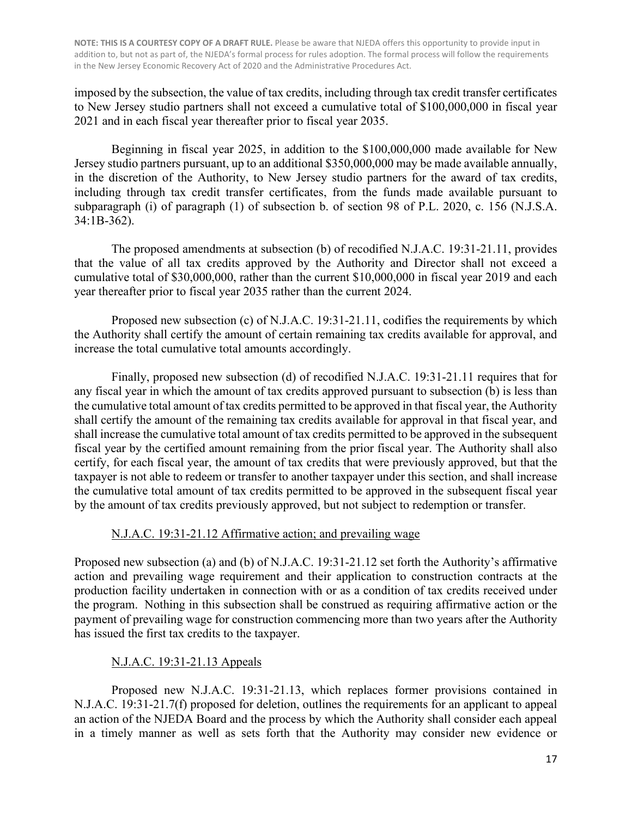imposed by the subsection, the value of tax credits, including through tax credit transfer certificates to New Jersey studio partners shall not exceed a cumulative total of \$100,000,000 in fiscal year 2021 and in each fiscal year thereafter prior to fiscal year 2035.

 Beginning in fiscal year 2025, in addition to the \$100,000,000 made available for New Jersey studio partners pursuant, up to an additional \$350,000,000 may be made available annually, in the discretion of the Authority, to New Jersey studio partners for the award of tax credits, including through tax credit transfer certificates, from the funds made available pursuant to subparagraph (i) of paragraph (1) of subsection b. of section 98 of P.L. 2020, c. 156 (N.J.S.A. 34:1B-362).

The proposed amendments at subsection (b) of recodified N.J.A.C. 19:31-21.11, provides that the value of all tax credits approved by the Authority and Director shall not exceed a cumulative total of \$30,000,000, rather than the current \$10,000,000 in fiscal year 2019 and each year thereafter prior to fiscal year 2035 rather than the current 2024.

 Proposed new subsection (c) of N.J.A.C. 19:31-21.11, codifies the requirements by which the Authority shall certify the amount of certain remaining tax credits available for approval, and increase the total cumulative total amounts accordingly.

Finally, proposed new subsection (d) of recodified N.J.A.C. 19:31-21.11 requires that for any fiscal year in which the amount of tax credits approved pursuant to subsection (b) is less than the cumulative total amount of tax credits permitted to be approved in that fiscal year, the Authority shall certify the amount of the remaining tax credits available for approval in that fiscal year, and shall increase the cumulative total amount of tax credits permitted to be approved in the subsequent fiscal year by the certified amount remaining from the prior fiscal year. The Authority shall also certify, for each fiscal year, the amount of tax credits that were previously approved, but that the taxpayer is not able to redeem or transfer to another taxpayer under this section, and shall increase the cumulative total amount of tax credits permitted to be approved in the subsequent fiscal year by the amount of tax credits previously approved, but not subject to redemption or transfer.

## N.J.A.C. 19:31-21.12 Affirmative action; and prevailing wage

Proposed new subsection (a) and (b) of N.J.A.C. 19:31-21.12 set forth the Authority's affirmative action and prevailing wage requirement and their application to construction contracts at the production facility undertaken in connection with or as a condition of tax credits received under the program. Nothing in this subsection shall be construed as requiring affirmative action or the payment of prevailing wage for construction commencing more than two years after the Authority has issued the first tax credits to the taxpayer.

## N.J.A.C. 19:31-21.13 Appeals

 Proposed new N.J.A.C. 19:31-21.13, which replaces former provisions contained in N.J.A.C. 19:31-21.7(f) proposed for deletion, outlines the requirements for an applicant to appeal an action of the NJEDA Board and the process by which the Authority shall consider each appeal in a timely manner as well as sets forth that the Authority may consider new evidence or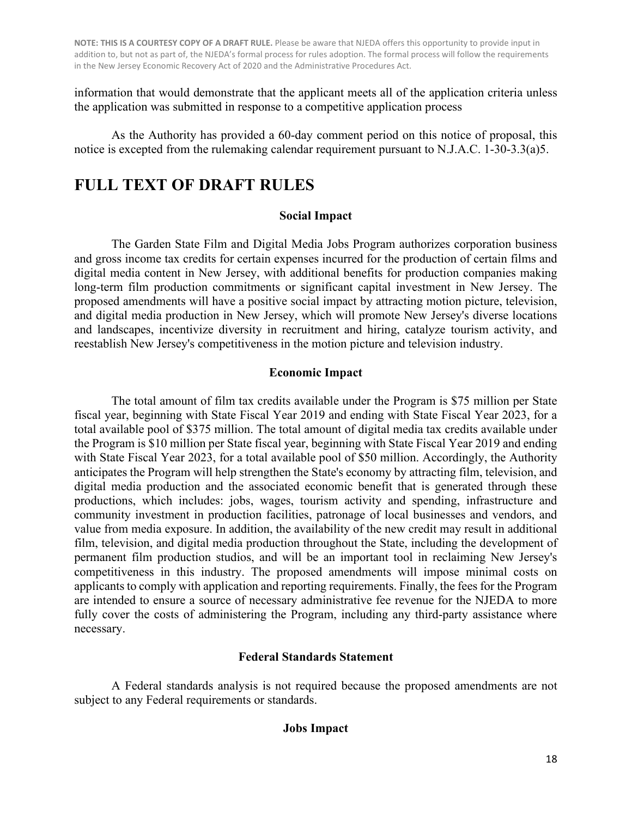information that would demonstrate that the applicant meets all of the application criteria unless the application was submitted in response to a competitive application process

As the Authority has provided a 60-day comment period on this notice of proposal, this notice is excepted from the rulemaking calendar requirement pursuant to N.J.A.C. 1-30-3.3(a)5.

# **FULL TEXT OF DRAFT RULES**

### **Social Impact**

The Garden State Film and Digital Media Jobs Program authorizes corporation business and gross income tax credits for certain expenses incurred for the production of certain films and digital media content in New Jersey, with additional benefits for production companies making long-term film production commitments or significant capital investment in New Jersey. The proposed amendments will have a positive social impact by attracting motion picture, television, and digital media production in New Jersey, which will promote New Jersey's diverse locations and landscapes, incentivize diversity in recruitment and hiring, catalyze tourism activity, and reestablish New Jersey's competitiveness in the motion picture and television industry.

### **Economic Impact**

The total amount of film tax credits available under the Program is \$75 million per State fiscal year, beginning with State Fiscal Year 2019 and ending with State Fiscal Year 2023, for a total available pool of \$375 million. The total amount of digital media tax credits available under the Program is \$10 million per State fiscal year, beginning with State Fiscal Year 2019 and ending with State Fiscal Year 2023, for a total available pool of \$50 million. Accordingly, the Authority anticipates the Program will help strengthen the State's economy by attracting film, television, and digital media production and the associated economic benefit that is generated through these productions, which includes: jobs, wages, tourism activity and spending, infrastructure and community investment in production facilities, patronage of local businesses and vendors, and value from media exposure. In addition, the availability of the new credit may result in additional film, television, and digital media production throughout the State, including the development of permanent film production studios, and will be an important tool in reclaiming New Jersey's competitiveness in this industry. The proposed amendments will impose minimal costs on applicants to comply with application and reporting requirements. Finally, the fees for the Program are intended to ensure a source of necessary administrative fee revenue for the NJEDA to more fully cover the costs of administering the Program, including any third-party assistance where necessary.

## **Federal Standards Statement**

A Federal standards analysis is not required because the proposed amendments are not subject to any Federal requirements or standards.

## **Jobs Impact**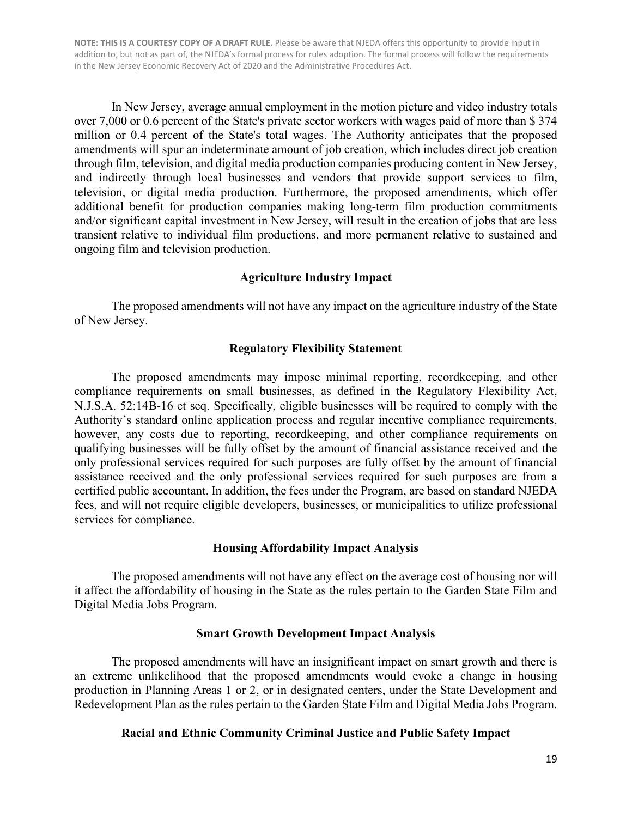In New Jersey, average annual employment in the motion picture and video industry totals over 7,000 or 0.6 percent of the State's private sector workers with wages paid of more than \$ 374 million or 0.4 percent of the State's total wages. The Authority anticipates that the proposed amendments will spur an indeterminate amount of job creation, which includes direct job creation through film, television, and digital media production companies producing content in New Jersey, and indirectly through local businesses and vendors that provide support services to film, television, or digital media production. Furthermore, the proposed amendments, which offer additional benefit for production companies making long-term film production commitments and/or significant capital investment in New Jersey, will result in the creation of jobs that are less transient relative to individual film productions, and more permanent relative to sustained and ongoing film and television production.

#### **Agriculture Industry Impact**

The proposed amendments will not have any impact on the agriculture industry of the State of New Jersey.

#### **Regulatory Flexibility Statement**

The proposed amendments may impose minimal reporting, recordkeeping, and other compliance requirements on small businesses, as defined in the Regulatory Flexibility Act, N.J.S.A. 52:14B-16 et seq. Specifically, eligible businesses will be required to comply with the Authority's standard online application process and regular incentive compliance requirements, however, any costs due to reporting, recordkeeping, and other compliance requirements on qualifying businesses will be fully offset by the amount of financial assistance received and the only professional services required for such purposes are fully offset by the amount of financial assistance received and the only professional services required for such purposes are from a certified public accountant. In addition, the fees under the Program, are based on standard NJEDA fees, and will not require eligible developers, businesses, or municipalities to utilize professional services for compliance.

#### **Housing Affordability Impact Analysis**

The proposed amendments will not have any effect on the average cost of housing nor will it affect the affordability of housing in the State as the rules pertain to the Garden State Film and Digital Media Jobs Program.

#### **Smart Growth Development Impact Analysis**

The proposed amendments will have an insignificant impact on smart growth and there is an extreme unlikelihood that the proposed amendments would evoke a change in housing production in Planning Areas 1 or 2, or in designated centers, under the State Development and Redevelopment Plan as the rules pertain to the Garden State Film and Digital Media Jobs Program.

#### **Racial and Ethnic Community Criminal Justice and Public Safety Impact**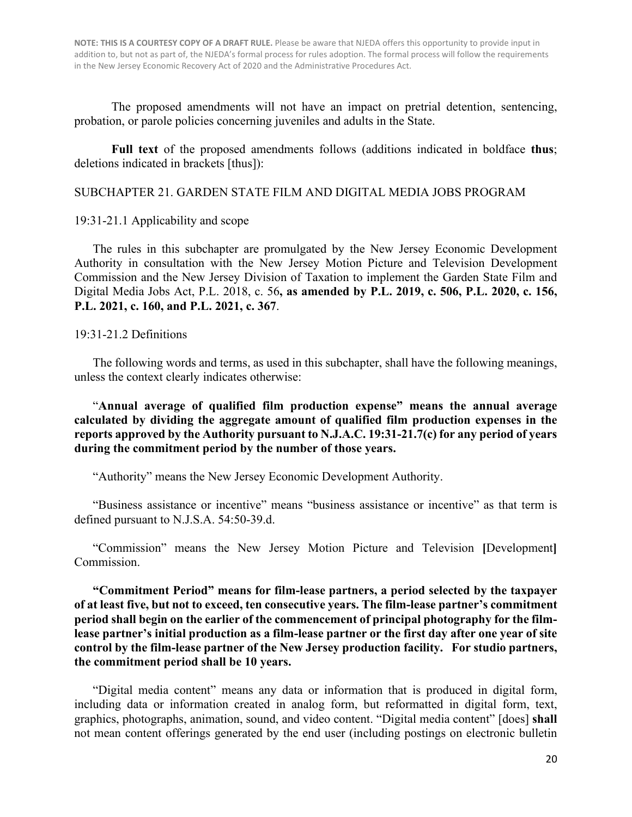The proposed amendments will not have an impact on pretrial detention, sentencing, probation, or parole policies concerning juveniles and adults in the State.

**Full text** of the proposed amendments follows (additions indicated in boldface **thus**; deletions indicated in brackets [thus]):

#### SUBCHAPTER 21. GARDEN STATE FILM AND DIGITAL MEDIA JOBS PROGRAM

19:31-21.1 Applicability and scope

The rules in this subchapter are promulgated by the New Jersey Economic Development Authority in consultation with the New Jersey Motion Picture and Television Development Commission and the New Jersey Division of Taxation to implement the Garden State Film and Digital Media Jobs Act, P.L. 2018, c. 56**, as amended by P.L. 2019, c. 506, P.L. 2020, c. 156, P.L. 2021, c. 160, and P.L. 2021, c. 367**.

#### 19:31-21.2 Definitions

The following words and terms, as used in this subchapter, shall have the following meanings, unless the context clearly indicates otherwise:

"**Annual average of qualified film production expense" means the annual average calculated by dividing the aggregate amount of qualified film production expenses in the reports approved by the Authority pursuant to N.J.A.C. 19:31-21.7(c) for any period of years during the commitment period by the number of those years.**

"Authority" means the New Jersey Economic Development Authority.

"Business assistance or incentive" means "business assistance or incentive" as that term is defined pursuant to N.J.S.A. 54:50-39.d.

"Commission" means the New Jersey Motion Picture and Television **[**Development**]** Commission.

**"Commitment Period" means for film-lease partners, a period selected by the taxpayer of at least five, but not to exceed, ten consecutive years. The film-lease partner's commitment period shall begin on the earlier of the commencement of principal photography for the filmlease partner's initial production as a film-lease partner or the first day after one year of site control by the film-lease partner of the New Jersey production facility. For studio partners, the commitment period shall be 10 years.**

"Digital media content" means any data or information that is produced in digital form, including data or information created in analog form, but reformatted in digital form, text, graphics, photographs, animation, sound, and video content. "Digital media content" [does] **shall** not mean content offerings generated by the end user (including postings on electronic bulletin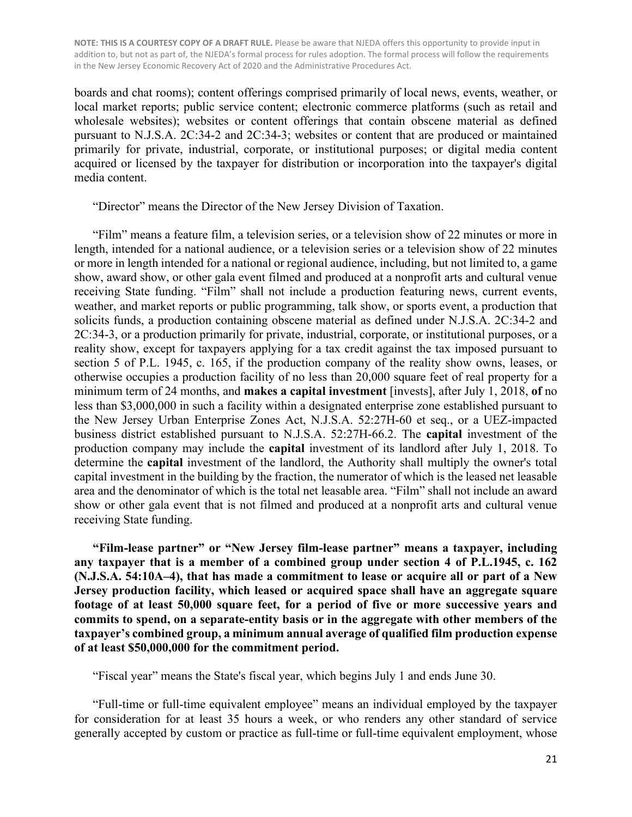boards and chat rooms); content offerings comprised primarily of local news, events, weather, or local market reports; public service content; electronic commerce platforms (such as retail and wholesale websites); websites or content offerings that contain obscene material as defined pursuant to N.J.S.A. 2C:34-2 and 2C:34-3; websites or content that are produced or maintained primarily for private, industrial, corporate, or institutional purposes; or digital media content acquired or licensed by the taxpayer for distribution or incorporation into the taxpayer's digital media content.

"Director" means the Director of the New Jersey Division of Taxation.

"Film" means a feature film, a television series, or a television show of 22 minutes or more in length, intended for a national audience, or a television series or a television show of 22 minutes or more in length intended for a national or regional audience, including, but not limited to, a game show, award show, or other gala event filmed and produced at a nonprofit arts and cultural venue receiving State funding. "Film" shall not include a production featuring news, current events, weather, and market reports or public programming, talk show, or sports event, a production that solicits funds, a production containing obscene material as defined under N.J.S.A. 2C:34-2 and 2C:34-3, or a production primarily for private, industrial, corporate, or institutional purposes, or a reality show, except for taxpayers applying for a tax credit against the tax imposed pursuant to section 5 of P.L. 1945, c. 165, if the production company of the reality show owns, leases, or otherwise occupies a production facility of no less than 20,000 square feet of real property for a minimum term of 24 months, and **makes a capital investment** [invests], after July 1, 2018, **of** no less than \$3,000,000 in such a facility within a designated enterprise zone established pursuant to the New Jersey Urban Enterprise Zones Act, N.J.S.A. 52:27H-60 et seq., or a UEZ-impacted business district established pursuant to N.J.S.A. 52:27H-66.2. The **capital** investment of the production company may include the **capital** investment of its landlord after July 1, 2018. To determine the **capital** investment of the landlord, the Authority shall multiply the owner's total capital investment in the building by the fraction, the numerator of which is the leased net leasable area and the denominator of which is the total net leasable area. "Film" shall not include an award show or other gala event that is not filmed and produced at a nonprofit arts and cultural venue receiving State funding.

**"Film-lease partner" or "New Jersey film-lease partner" means a taxpayer, including any taxpayer that is a member of a combined group under section 4 of P.L.1945, c. 162 (N.J.S.A. 54:10A–4), that has made a commitment to lease or acquire all or part of a New Jersey production facility, which leased or acquired space shall have an aggregate square footage of at least 50,000 square feet, for a period of five or more successive years and commits to spend, on a separate-entity basis or in the aggregate with other members of the taxpayer's combined group, a minimum annual average of qualified film production expense of at least \$50,000,000 for the commitment period.**

"Fiscal year" means the State's fiscal year, which begins July 1 and ends June 30.

"Full-time or full-time equivalent employee" means an individual employed by the taxpayer for consideration for at least 35 hours a week, or who renders any other standard of service generally accepted by custom or practice as full-time or full-time equivalent employment, whose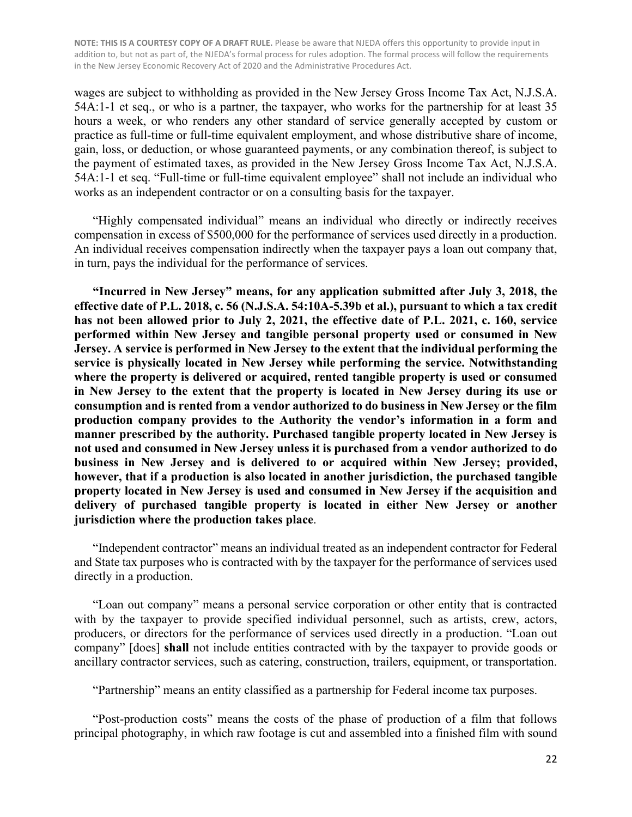wages are subject to withholding as provided in the New Jersey Gross Income Tax Act, N.J.S.A. 54A:1-1 et seq., or who is a partner, the taxpayer, who works for the partnership for at least 35 hours a week, or who renders any other standard of service generally accepted by custom or practice as full-time or full-time equivalent employment, and whose distributive share of income, gain, loss, or deduction, or whose guaranteed payments, or any combination thereof, is subject to the payment of estimated taxes, as provided in the New Jersey Gross Income Tax Act, N.J.S.A. 54A:1-1 et seq. "Full-time or full-time equivalent employee" shall not include an individual who works as an independent contractor or on a consulting basis for the taxpayer.

"Highly compensated individual" means an individual who directly or indirectly receives compensation in excess of \$500,000 for the performance of services used directly in a production. An individual receives compensation indirectly when the taxpayer pays a loan out company that, in turn, pays the individual for the performance of services.

**"Incurred in New Jersey" means, for any application submitted after July 3, 2018, the effective date of P.L. 2018, c. 56 (N.J.S.A. 54:10A-5.39b et al.), pursuant to which a tax credit has not been allowed prior to July 2, 2021, the effective date of P.L. 2021, c. 160, service performed within New Jersey and tangible personal property used or consumed in New Jersey. A service is performed in New Jersey to the extent that the individual performing the service is physically located in New Jersey while performing the service. Notwithstanding where the property is delivered or acquired, rented tangible property is used or consumed in New Jersey to the extent that the property is located in New Jersey during its use or consumption and is rented from a vendor authorized to do business in New Jersey or the film production company provides to the Authority the vendor's information in a form and manner prescribed by the authority. Purchased tangible property located in New Jersey is not used and consumed in New Jersey unless it is purchased from a vendor authorized to do business in New Jersey and is delivered to or acquired within New Jersey; provided, however, that if a production is also located in another jurisdiction, the purchased tangible property located in New Jersey is used and consumed in New Jersey if the acquisition and delivery of purchased tangible property is located in either New Jersey or another jurisdiction where the production takes place**.

"Independent contractor" means an individual treated as an independent contractor for Federal and State tax purposes who is contracted with by the taxpayer for the performance of services used directly in a production.

"Loan out company" means a personal service corporation or other entity that is contracted with by the taxpayer to provide specified individual personnel, such as artists, crew, actors, producers, or directors for the performance of services used directly in a production. "Loan out company" [does] **shall** not include entities contracted with by the taxpayer to provide goods or ancillary contractor services, such as catering, construction, trailers, equipment, or transportation.

"Partnership" means an entity classified as a partnership for Federal income tax purposes.

"Post-production costs" means the costs of the phase of production of a film that follows principal photography, in which raw footage is cut and assembled into a finished film with sound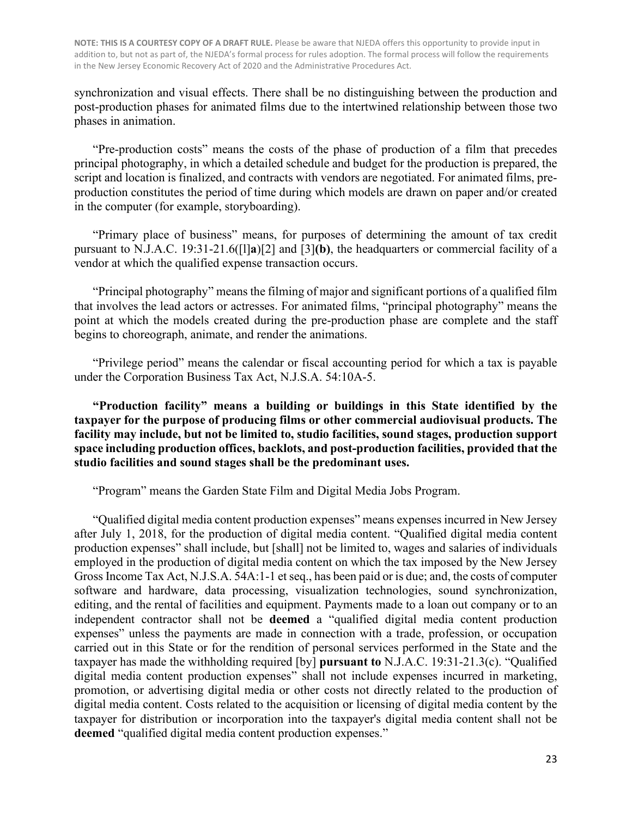synchronization and visual effects. There shall be no distinguishing between the production and post-production phases for animated films due to the intertwined relationship between those two phases in animation.

"Pre-production costs" means the costs of the phase of production of a film that precedes principal photography, in which a detailed schedule and budget for the production is prepared, the script and location is finalized, and contracts with vendors are negotiated. For animated films, preproduction constitutes the period of time during which models are drawn on paper and/or created in the computer (for example, storyboarding).

"Primary place of business" means, for purposes of determining the amount of tax credit pursuant to N.J.A.C. 19:31-21.6([l]**a**)[2] and [3]**(b)**, the headquarters or commercial facility of a vendor at which the qualified expense transaction occurs.

"Principal photography" means the filming of major and significant portions of a qualified film that involves the lead actors or actresses. For animated films, "principal photography" means the point at which the models created during the pre-production phase are complete and the staff begins to choreograph, animate, and render the animations.

"Privilege period" means the calendar or fiscal accounting period for which a tax is payable under the Corporation Business Tax Act, N.J.S.A. 54:10A-5.

**"Production facility" means a building or buildings in this State identified by the taxpayer for the purpose of producing films or other commercial audiovisual products. The facility may include, but not be limited to, studio facilities, sound stages, production support space including production offices, backlots, and post-production facilities, provided that the studio facilities and sound stages shall be the predominant uses.** 

"Program" means the Garden State Film and Digital Media Jobs Program.

"Qualified digital media content production expenses" means expenses incurred in New Jersey after July 1, 2018, for the production of digital media content. "Qualified digital media content production expenses" shall include, but [shall] not be limited to, wages and salaries of individuals employed in the production of digital media content on which the tax imposed by the New Jersey Gross Income Tax Act, N.J.S.A. 54A:1-1 et seq., has been paid or is due; and, the costs of computer software and hardware, data processing, visualization technologies, sound synchronization, editing, and the rental of facilities and equipment. Payments made to a loan out company or to an independent contractor shall not be **deemed** a "qualified digital media content production expenses" unless the payments are made in connection with a trade, profession, or occupation carried out in this State or for the rendition of personal services performed in the State and the taxpayer has made the withholding required [by] **pursuant to** N.J.A.C. 19:31-21.3(c). "Qualified digital media content production expenses" shall not include expenses incurred in marketing, promotion, or advertising digital media or other costs not directly related to the production of digital media content. Costs related to the acquisition or licensing of digital media content by the taxpayer for distribution or incorporation into the taxpayer's digital media content shall not be **deemed** "qualified digital media content production expenses."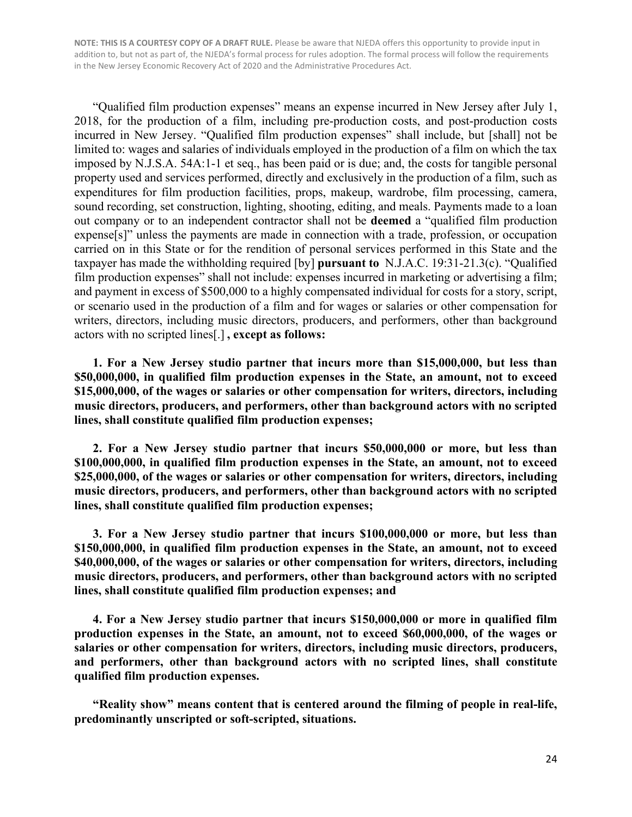"Qualified film production expenses" means an expense incurred in New Jersey after July 1, 2018, for the production of a film, including pre-production costs, and post-production costs incurred in New Jersey. "Qualified film production expenses" shall include, but [shall] not be limited to: wages and salaries of individuals employed in the production of a film on which the tax imposed by N.J.S.A. 54A:1-1 et seq., has been paid or is due; and, the costs for tangible personal property used and services performed, directly and exclusively in the production of a film, such as expenditures for film production facilities, props, makeup, wardrobe, film processing, camera, sound recording, set construction, lighting, shooting, editing, and meals. Payments made to a loan out company or to an independent contractor shall not be **deemed** a "qualified film production expense[s]" unless the payments are made in connection with a trade, profession, or occupation carried on in this State or for the rendition of personal services performed in this State and the taxpayer has made the withholding required [by] **pursuant to** N.J.A.C. 19:31-21.3(c). "Qualified film production expenses" shall not include: expenses incurred in marketing or advertising a film; and payment in excess of \$500,000 to a highly compensated individual for costs for a story, script, or scenario used in the production of a film and for wages or salaries or other compensation for writers, directors, including music directors, producers, and performers, other than background actors with no scripted lines[.] **, except as follows:**

**1. For a New Jersey studio partner that incurs more than \$15,000,000, but less than \$50,000,000, in qualified film production expenses in the State, an amount, not to exceed \$15,000,000, of the wages or salaries or other compensation for writers, directors, including music directors, producers, and performers, other than background actors with no scripted lines, shall constitute qualified film production expenses;**

**2. For a New Jersey studio partner that incurs \$50,000,000 or more, but less than \$100,000,000, in qualified film production expenses in the State, an amount, not to exceed \$25,000,000, of the wages or salaries or other compensation for writers, directors, including music directors, producers, and performers, other than background actors with no scripted lines, shall constitute qualified film production expenses;**

**3. For a New Jersey studio partner that incurs \$100,000,000 or more, but less than \$150,000,000, in qualified film production expenses in the State, an amount, not to exceed \$40,000,000, of the wages or salaries or other compensation for writers, directors, including music directors, producers, and performers, other than background actors with no scripted lines, shall constitute qualified film production expenses; and**

**4. For a New Jersey studio partner that incurs \$150,000,000 or more in qualified film production expenses in the State, an amount, not to exceed \$60,000,000, of the wages or salaries or other compensation for writers, directors, including music directors, producers, and performers, other than background actors with no scripted lines, shall constitute qualified film production expenses.**

**"Reality show" means content that is centered around the filming of people in real-life, predominantly unscripted or soft-scripted, situations.**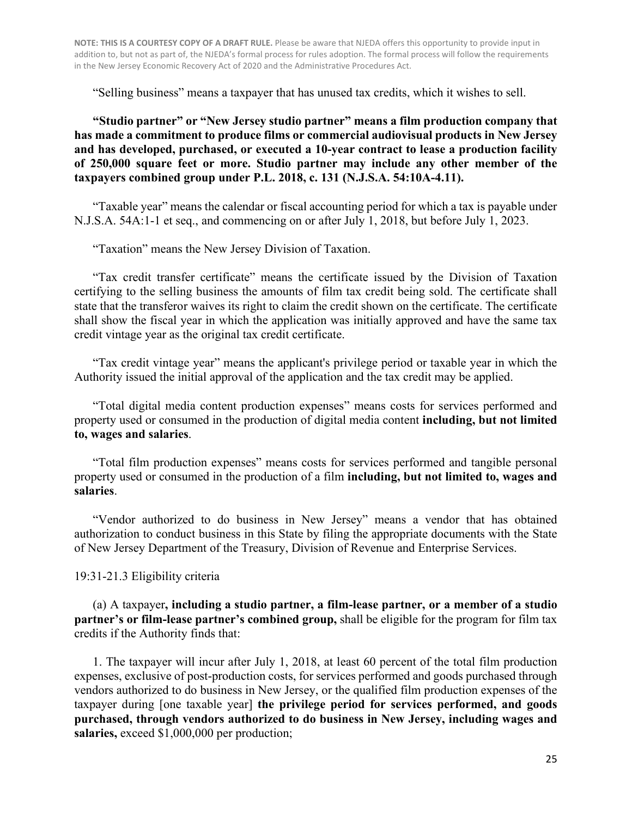"Selling business" means a taxpayer that has unused tax credits, which it wishes to sell.

**"Studio partner" or "New Jersey studio partner" means a film production company that has made a commitment to produce films or commercial audiovisual products in New Jersey and has developed, purchased, or executed a 10-year contract to lease a production facility of 250,000 square feet or more. Studio partner may include any other member of the taxpayers combined group under P.L. 2018, c. 131 (N.J.S.A. 54:10A-4.11).**

"Taxable year" means the calendar or fiscal accounting period for which a tax is payable under N.J.S.A. 54A:1-1 et seq., and commencing on or after July 1, 2018, but before July 1, 2023.

"Taxation" means the New Jersey Division of Taxation.

"Tax credit transfer certificate" means the certificate issued by the Division of Taxation certifying to the selling business the amounts of film tax credit being sold. The certificate shall state that the transferor waives its right to claim the credit shown on the certificate. The certificate shall show the fiscal year in which the application was initially approved and have the same tax credit vintage year as the original tax credit certificate.

"Tax credit vintage year" means the applicant's privilege period or taxable year in which the Authority issued the initial approval of the application and the tax credit may be applied.

"Total digital media content production expenses" means costs for services performed and property used or consumed in the production of digital media content **including, but not limited to, wages and salaries**.

"Total film production expenses" means costs for services performed and tangible personal property used or consumed in the production of a film **including, but not limited to, wages and salaries**.

"Vendor authorized to do business in New Jersey" means a vendor that has obtained authorization to conduct business in this State by filing the appropriate documents with the State of New Jersey Department of the Treasury, Division of Revenue and Enterprise Services.

19:31-21.3 Eligibility criteria

(a) A taxpayer**, including a studio partner, a film-lease partner, or a member of a studio partner's or film-lease partner's combined group,** shall be eligible for the program for film tax credits if the Authority finds that:

1. The taxpayer will incur after July 1, 2018, at least 60 percent of the total film production expenses, exclusive of post-production costs, for services performed and goods purchased through vendors authorized to do business in New Jersey, or the qualified film production expenses of the taxpayer during [one taxable year] **the privilege period for services performed, and goods purchased, through vendors authorized to do business in New Jersey, including wages and salaries,** exceed \$1,000,000 per production;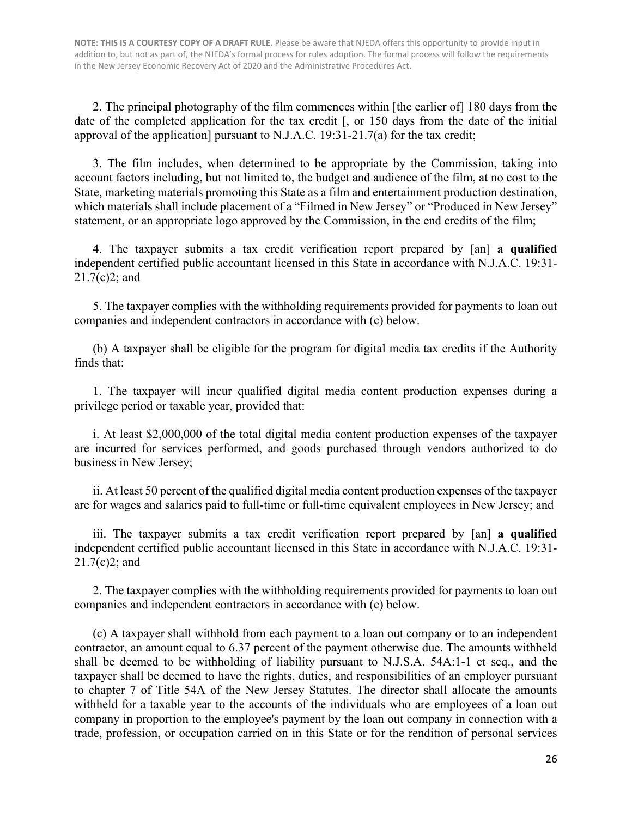2. The principal photography of the film commences within [the earlier of] 180 days from the date of the completed application for the tax credit [, or 150 days from the date of the initial approval of the application] pursuant to N.J.A.C. 19:31-21.7(a) for the tax credit;

3. The film includes, when determined to be appropriate by the Commission, taking into account factors including, but not limited to, the budget and audience of the film, at no cost to the State, marketing materials promoting this State as a film and entertainment production destination, which materials shall include placement of a "Filmed in New Jersey" or "Produced in New Jersey" statement, or an appropriate logo approved by the Commission, in the end credits of the film;

4. The taxpayer submits a tax credit verification report prepared by [an] **a qualified**  independent certified public accountant licensed in this State in accordance with N.J.A.C. 19:31- 21.7(c)2; and

5. The taxpayer complies with the withholding requirements provided for payments to loan out companies and independent contractors in accordance with (c) below.

(b) A taxpayer shall be eligible for the program for digital media tax credits if the Authority finds that:

1. The taxpayer will incur qualified digital media content production expenses during a privilege period or taxable year, provided that:

i. At least \$2,000,000 of the total digital media content production expenses of the taxpayer are incurred for services performed, and goods purchased through vendors authorized to do business in New Jersey;

ii. At least 50 percent of the qualified digital media content production expenses of the taxpayer are for wages and salaries paid to full-time or full-time equivalent employees in New Jersey; and

iii. The taxpayer submits a tax credit verification report prepared by [an] **a qualified**  independent certified public accountant licensed in this State in accordance with N.J.A.C. 19:31- 21.7(c)2; and

2. The taxpayer complies with the withholding requirements provided for payments to loan out companies and independent contractors in accordance with (c) below.

(c) A taxpayer shall withhold from each payment to a loan out company or to an independent contractor, an amount equal to 6.37 percent of the payment otherwise due. The amounts withheld shall be deemed to be withholding of liability pursuant to N.J.S.A. 54A:1-1 et seq., and the taxpayer shall be deemed to have the rights, duties, and responsibilities of an employer pursuant to chapter 7 of Title 54A of the New Jersey Statutes. The director shall allocate the amounts withheld for a taxable year to the accounts of the individuals who are employees of a loan out company in proportion to the employee's payment by the loan out company in connection with a trade, profession, or occupation carried on in this State or for the rendition of personal services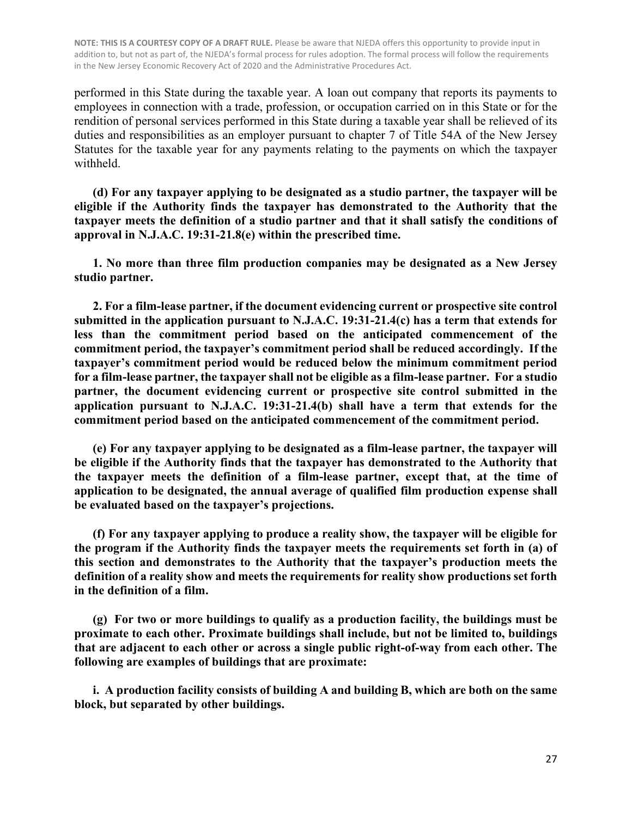performed in this State during the taxable year. A loan out company that reports its payments to employees in connection with a trade, profession, or occupation carried on in this State or for the rendition of personal services performed in this State during a taxable year shall be relieved of its duties and responsibilities as an employer pursuant to chapter 7 of Title 54A of the New Jersey Statutes for the taxable year for any payments relating to the payments on which the taxpayer withheld.

**(d) For any taxpayer applying to be designated as a studio partner, the taxpayer will be eligible if the Authority finds the taxpayer has demonstrated to the Authority that the taxpayer meets the definition of a studio partner and that it shall satisfy the conditions of approval in N.J.A.C. 19:31-21.8(e) within the prescribed time.** 

**1. No more than three film production companies may be designated as a New Jersey studio partner.**

**2. For a film-lease partner, if the document evidencing current or prospective site control submitted in the application pursuant to N.J.A.C. 19:31-21.4(c) has a term that extends for less than the commitment period based on the anticipated commencement of the commitment period, the taxpayer's commitment period shall be reduced accordingly. If the taxpayer's commitment period would be reduced below the minimum commitment period for a film-lease partner, the taxpayer shall not be eligible as a film-lease partner. For a studio partner, the document evidencing current or prospective site control submitted in the application pursuant to N.J.A.C. 19:31-21.4(b) shall have a term that extends for the commitment period based on the anticipated commencement of the commitment period.**

**(e) For any taxpayer applying to be designated as a film-lease partner, the taxpayer will be eligible if the Authority finds that the taxpayer has demonstrated to the Authority that the taxpayer meets the definition of a film-lease partner, except that, at the time of application to be designated, the annual average of qualified film production expense shall be evaluated based on the taxpayer's projections.**

**(f) For any taxpayer applying to produce a reality show, the taxpayer will be eligible for the program if the Authority finds the taxpayer meets the requirements set forth in (a) of this section and demonstrates to the Authority that the taxpayer's production meets the definition of a reality show and meets the requirements for reality show productions set forth in the definition of a film.**

**(g) For two or more buildings to qualify as a production facility, the buildings must be proximate to each other. Proximate buildings shall include, but not be limited to, buildings that are adjacent to each other or across a single public right-of-way from each other. The following are examples of buildings that are proximate:** 

**i. A production facility consists of building A and building B, which are both on the same block, but separated by other buildings.**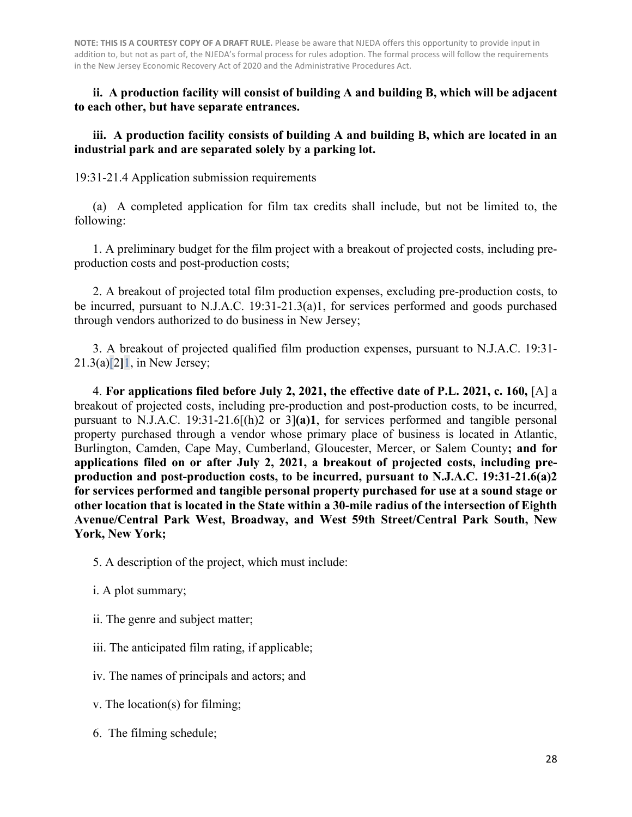**ii. A production facility will consist of building A and building B, which will be adjacent to each other, but have separate entrances.** 

#### **iii. A production facility consists of building A and building B, which are located in an industrial park and are separated solely by a parking lot.**

19:31-21.4 Application submission requirements

(a) A completed application for film tax credits shall include, but not be limited to, the following:

1. A preliminary budget for the film project with a breakout of projected costs, including preproduction costs and post-production costs;

2. A breakout of projected total film production expenses, excluding pre-production costs, to be incurred, pursuant to N.J.A.C. 19:31-21.3(a)1, for services performed and goods purchased through vendors authorized to do business in New Jersey;

3. A breakout of projected qualified film production expenses, pursuant to N.J.A.C. 19:31- 21.3(a)[2**]**1, in New Jersey;

 4. **For applications filed before July 2, 2021, the effective date of P.L. 2021, c. 160,** [A] a breakout of projected costs, including pre-production and post-production costs, to be incurred, pursuant to N.J.A.C. 19:31-21.6[(h)2 or 3]**(a)1**, for services performed and tangible personal property purchased through a vendor whose primary place of business is located in Atlantic, Burlington, Camden, Cape May, Cumberland, Gloucester, Mercer, or Salem County**; and for applications filed on or after July 2, 2021, a breakout of projected costs, including preproduction and post-production costs, to be incurred, pursuant to N.J.A.C. 19:31-21.6(a)2 for services performed and tangible personal property purchased for use at a sound stage or other location that is located in the State within a 30-mile radius of the intersection of Eighth Avenue/Central Park West, Broadway, and West 59th Street/Central Park South, New York, New York;** 

- 5. A description of the project, which must include:
- i. A plot summary;
- ii. The genre and subject matter;
- iii. The anticipated film rating, if applicable;
- iv. The names of principals and actors; and
- v. The location(s) for filming;
- 6. The filming schedule;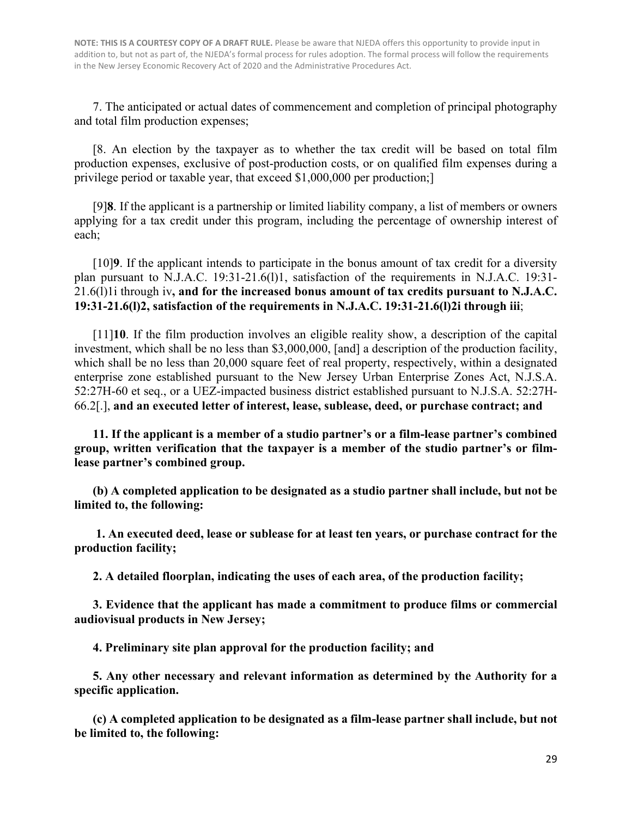7. The anticipated or actual dates of commencement and completion of principal photography and total film production expenses;

[8. An election by the taxpayer as to whether the tax credit will be based on total film production expenses, exclusive of post-production costs, or on qualified film expenses during a privilege period or taxable year, that exceed \$1,000,000 per production;]

[9]**8**. If the applicant is a partnership or limited liability company, a list of members or owners applying for a tax credit under this program, including the percentage of ownership interest of each;

[10]**9**. If the applicant intends to participate in the bonus amount of tax credit for a diversity plan pursuant to N.J.A.C. 19:31-21.6(l)1, satisfaction of the requirements in N.J.A.C. 19:31- 21.6(l)1i through iv**, and for the increased bonus amount of tax credits pursuant to N.J.A.C. 19:31-21.6(l)2, satisfaction of the requirements in N.J.A.C. 19:31-21.6(l)2i through iii**;

[11]**10**. If the film production involves an eligible reality show, a description of the capital investment, which shall be no less than \$3,000,000, [and] a description of the production facility, which shall be no less than 20,000 square feet of real property, respectively, within a designated enterprise zone established pursuant to the New Jersey Urban Enterprise Zones Act, N.J.S.A. 52:27H-60 et seq., or a UEZ-impacted business district established pursuant to N.J.S.A. 52:27H-66.2[.], **and an executed letter of interest, lease, sublease, deed, or purchase contract; and**

**11. If the applicant is a member of a studio partner's or a film-lease partner's combined group, written verification that the taxpayer is a member of the studio partner's or filmlease partner's combined group.**

**(b) A completed application to be designated as a studio partner shall include, but not be limited to, the following:**

**1. An executed deed, lease or sublease for at least ten years, or purchase contract for the production facility;**

**2. A detailed floorplan, indicating the uses of each area, of the production facility;**

**3. Evidence that the applicant has made a commitment to produce films or commercial audiovisual products in New Jersey;**

**4. Preliminary site plan approval for the production facility; and**

**5. Any other necessary and relevant information as determined by the Authority for a specific application.**

**(c) A completed application to be designated as a film-lease partner shall include, but not be limited to, the following:**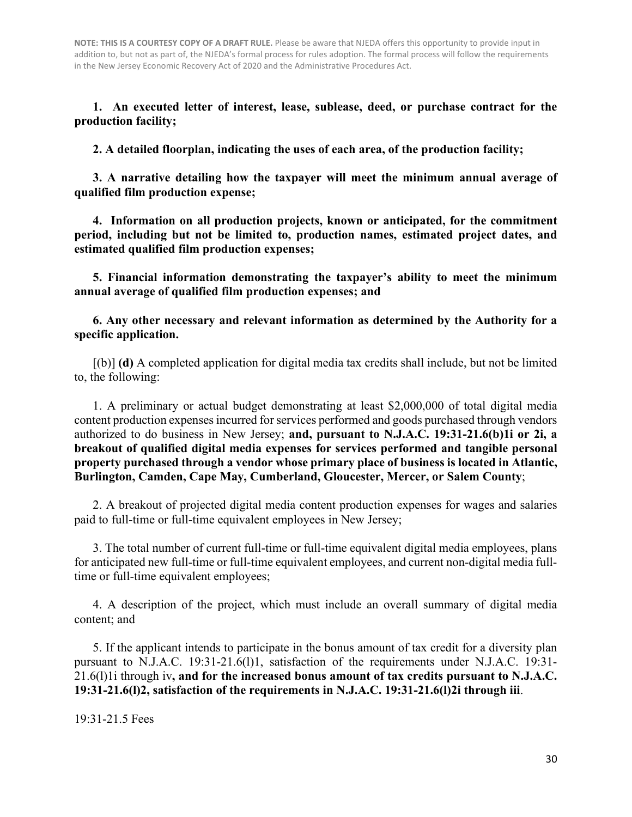**1. An executed letter of interest, lease, sublease, deed, or purchase contract for the production facility;**

**2. A detailed floorplan, indicating the uses of each area, of the production facility;**

**3. A narrative detailing how the taxpayer will meet the minimum annual average of qualified film production expense;**

**4. Information on all production projects, known or anticipated, for the commitment period, including but not be limited to, production names, estimated project dates, and estimated qualified film production expenses;**

**5. Financial information demonstrating the taxpayer's ability to meet the minimum annual average of qualified film production expenses; and**

**6. Any other necessary and relevant information as determined by the Authority for a specific application.**

[(b)] **(d)** A completed application for digital media tax credits shall include, but not be limited to, the following:

1. A preliminary or actual budget demonstrating at least \$2,000,000 of total digital media content production expenses incurred for services performed and goods purchased through vendors authorized to do business in New Jersey; **and, pursuant to N.J.A.C. 19:31-21.6(b)1i or 2i, a breakout of qualified digital media expenses for services performed and tangible personal property purchased through a vendor whose primary place of business is located in Atlantic, Burlington, Camden, Cape May, Cumberland, Gloucester, Mercer, or Salem County**;

2. A breakout of projected digital media content production expenses for wages and salaries paid to full-time or full-time equivalent employees in New Jersey;

3. The total number of current full-time or full-time equivalent digital media employees, plans for anticipated new full-time or full-time equivalent employees, and current non-digital media fulltime or full-time equivalent employees;

4. A description of the project, which must include an overall summary of digital media content; and

5. If the applicant intends to participate in the bonus amount of tax credit for a diversity plan pursuant to N.J.A.C. 19:31-21.6(l)1, satisfaction of the requirements under N.J.A.C. 19:31- 21.6(l)1i through iv**, and for the increased bonus amount of tax credits pursuant to N.J.A.C. 19:31-21.6(l)2, satisfaction of the requirements in N.J.A.C. 19:31-21.6(l)2i through iii**.

19:31-21.5 Fees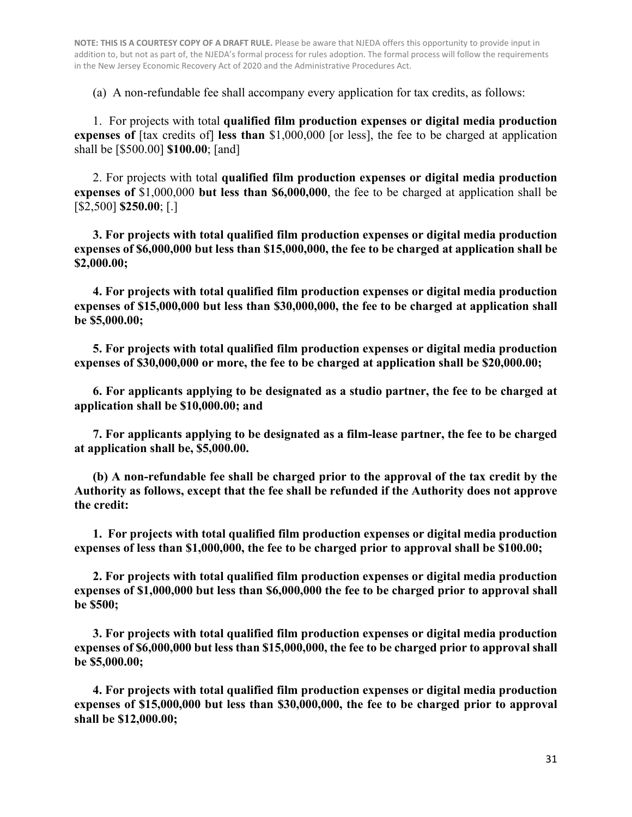(a) A non-refundable fee shall accompany every application for tax credits, as follows:

1. For projects with total **qualified film production expenses or digital media production expenses of** [tax credits of] **less than** \$1,000,000 [or less], the fee to be charged at application shall be [\$500.00] **\$100.00**; [and]

2. For projects with total **qualified film production expenses or digital media production expenses of** \$1,000,000 **but less than \$6,000,000**, the fee to be charged at application shall be [\$2,500] **\$250.00**; [.]

**3. For projects with total qualified film production expenses or digital media production expenses of \$6,000,000 but less than \$15,000,000, the fee to be charged at application shall be \$2,000.00;**

**4. For projects with total qualified film production expenses or digital media production expenses of \$15,000,000 but less than \$30,000,000, the fee to be charged at application shall be \$5,000.00;**

**5. For projects with total qualified film production expenses or digital media production expenses of \$30,000,000 or more, the fee to be charged at application shall be \$20,000.00;**

**6. For applicants applying to be designated as a studio partner, the fee to be charged at application shall be \$10,000.00; and**

**7. For applicants applying to be designated as a film-lease partner, the fee to be charged at application shall be, \$5,000.00.**

**(b) A non-refundable fee shall be charged prior to the approval of the tax credit by the Authority as follows, except that the fee shall be refunded if the Authority does not approve the credit:**

**1. For projects with total qualified film production expenses or digital media production expenses of less than \$1,000,000, the fee to be charged prior to approval shall be \$100.00;**

**2. For projects with total qualified film production expenses or digital media production expenses of \$1,000,000 but less than \$6,000,000 the fee to be charged prior to approval shall be \$500;** 

**3. For projects with total qualified film production expenses or digital media production expenses of \$6,000,000 but less than \$15,000,000, the fee to be charged prior to approval shall be \$5,000.00;**

**4. For projects with total qualified film production expenses or digital media production expenses of \$15,000,000 but less than \$30,000,000, the fee to be charged prior to approval shall be \$12,000.00;**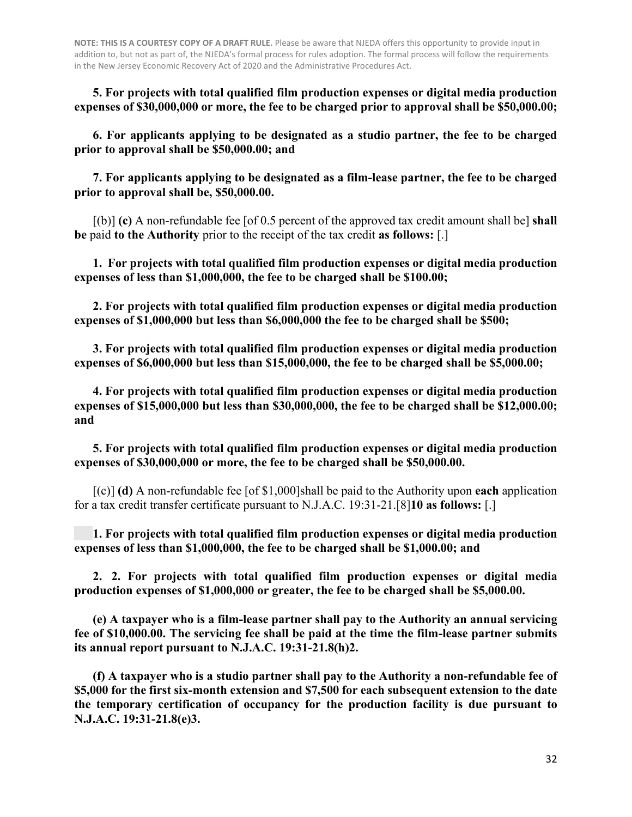**5. For projects with total qualified film production expenses or digital media production expenses of \$30,000,000 or more, the fee to be charged prior to approval shall be \$50,000.00;** 

**6. For applicants applying to be designated as a studio partner, the fee to be charged prior to approval shall be \$50,000.00; and** 

**7. For applicants applying to be designated as a film-lease partner, the fee to be charged prior to approval shall be, \$50,000.00.** 

[(b)] **(c)** A non-refundable fee [of 0.5 percent of the approved tax credit amount shall be] **shall be** paid **to the Authority** prior to the receipt of the tax credit **as follows:** [.]

**1. For projects with total qualified film production expenses or digital media production expenses of less than \$1,000,000, the fee to be charged shall be \$100.00;** 

**2. For projects with total qualified film production expenses or digital media production expenses of \$1,000,000 but less than \$6,000,000 the fee to be charged shall be \$500;** 

**3. For projects with total qualified film production expenses or digital media production expenses of \$6,000,000 but less than \$15,000,000, the fee to be charged shall be \$5,000.00;** 

 **4. For projects with total qualified film production expenses or digital media production expenses of \$15,000,000 but less than \$30,000,000, the fee to be charged shall be \$12,000.00; and** 

**5. For projects with total qualified film production expenses or digital media production expenses of \$30,000,000 or more, the fee to be charged shall be \$50,000.00.** 

 [(c)] **(d)** A non-refundable fee [of \$1,000]shall be paid to the Authority upon **each** application for a tax credit transfer certificate pursuant to N.J.A.C. 19:31-21.[8]**10 as follows:** [.]

**1. For projects with total qualified film production expenses or digital media production expenses of less than \$1,000,000, the fee to be charged shall be \$1,000.00; and** 

 **2. 2. For projects with total qualified film production expenses or digital media production expenses of \$1,000,000 or greater, the fee to be charged shall be \$5,000.00.** 

**(e) A taxpayer who is a film-lease partner shall pay to the Authority an annual servicing fee of \$10,000.00. The servicing fee shall be paid at the time the film-lease partner submits its annual report pursuant to N.J.A.C. 19:31-21.8(h)2.** 

**(f) A taxpayer who is a studio partner shall pay to the Authority a non-refundable fee of \$5,000 for the first six-month extension and \$7,500 for each subsequent extension to the date the temporary certification of occupancy for the production facility is due pursuant to N.J.A.C. 19:31-21.8(e)3.**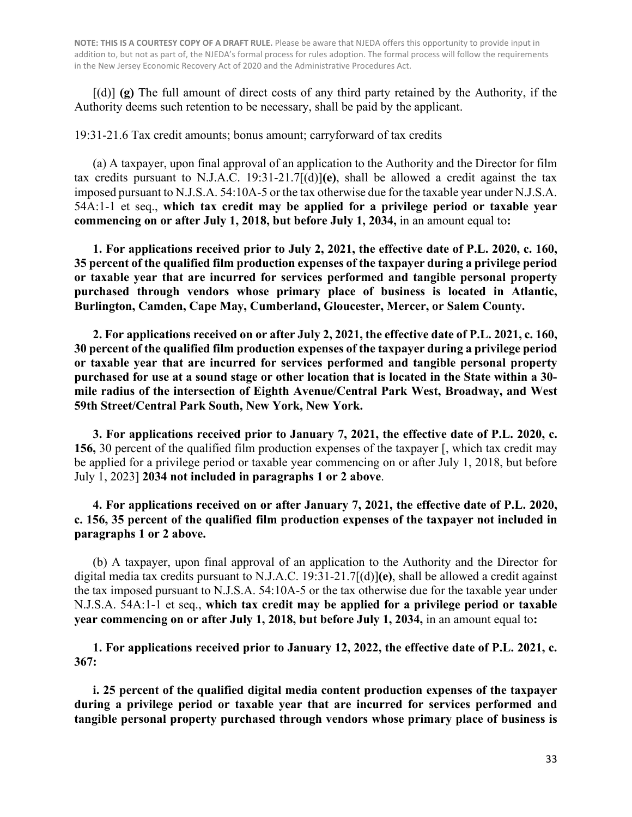[(d)] **(g)** The full amount of direct costs of any third party retained by the Authority, if the Authority deems such retention to be necessary, shall be paid by the applicant.

19:31-21.6 Tax credit amounts; bonus amount; carryforward of tax credits

(a) A taxpayer, upon final approval of an application to the Authority and the Director for film tax credits pursuant to N.J.A.C. 19:31-21.7[(d)]**(e)**, shall be allowed a credit against the tax imposed pursuant to N.J.S.A. 54:10A-5 or the tax otherwise due for the taxable year under N.J.S.A. 54A:1-1 et seq., **which tax credit may be applied for a privilege period or taxable year commencing on or after July 1, 2018, but before July 1, 2034,** in an amount equal to**:**

**1. For applications received prior to July 2, 2021, the effective date of P.L. 2020, c. 160, 35 percent of the qualified film production expenses of the taxpayer during a privilege period or taxable year that are incurred for services performed and tangible personal property purchased through vendors whose primary place of business is located in Atlantic, Burlington, Camden, Cape May, Cumberland, Gloucester, Mercer, or Salem County.**

**2. For applications received on or after July 2, 2021, the effective date of P.L. 2021, c. 160, 30 percent of the qualified film production expenses of the taxpayer during a privilege period or taxable year that are incurred for services performed and tangible personal property purchased for use at a sound stage or other location that is located in the State within a 30 mile radius of the intersection of Eighth Avenue/Central Park West, Broadway, and West 59th Street/Central Park South, New York, New York.**

**3. For applications received prior to January 7, 2021, the effective date of P.L. 2020, c. 156,** 30 percent of the qualified film production expenses of the taxpayer [, which tax credit may be applied for a privilege period or taxable year commencing on or after July 1, 2018, but before July 1, 2023] **2034 not included in paragraphs 1 or 2 above**.

**4. For applications received on or after January 7, 2021, the effective date of P.L. 2020, c. 156, 35 percent of the qualified film production expenses of the taxpayer not included in paragraphs 1 or 2 above.**

(b) A taxpayer, upon final approval of an application to the Authority and the Director for digital media tax credits pursuant to N.J.A.C. 19:31-21.7[(d)]**(e)**, shall be allowed a credit against the tax imposed pursuant to N.J.S.A. 54:10A-5 or the tax otherwise due for the taxable year under N.J.S.A. 54A:1-1 et seq., **which tax credit may be applied for a privilege period or taxable year commencing on or after July 1, 2018, but before July 1, 2034,** in an amount equal to**:**

**1. For applications received prior to January 12, 2022, the effective date of P.L. 2021, c. 367:**

**i. 25 percent of the qualified digital media content production expenses of the taxpayer during a privilege period or taxable year that are incurred for services performed and tangible personal property purchased through vendors whose primary place of business is**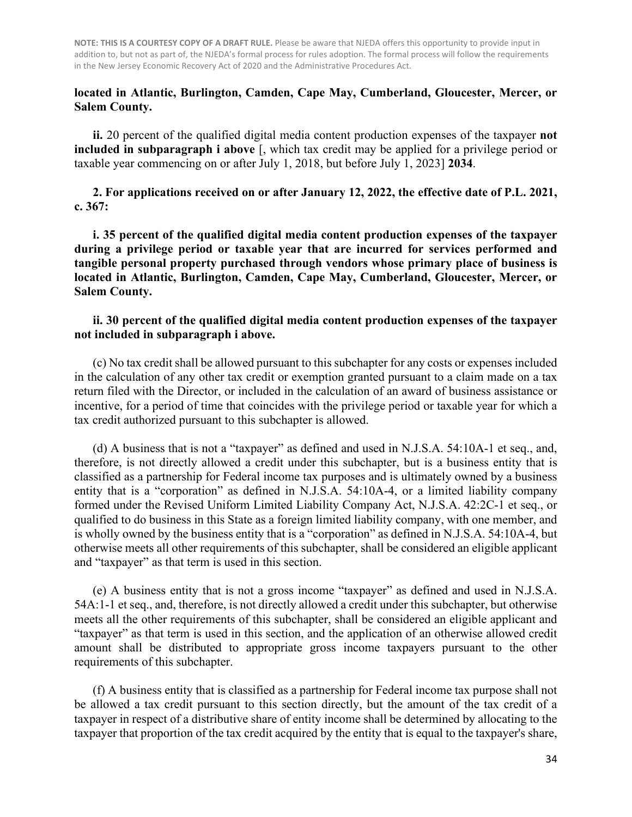#### **located in Atlantic, Burlington, Camden, Cape May, Cumberland, Gloucester, Mercer, or Salem County.**

**ii.** 20 percent of the qualified digital media content production expenses of the taxpayer **not included in subparagraph i above** [, which tax credit may be applied for a privilege period or taxable year commencing on or after July 1, 2018, but before July 1, 2023] **2034**.

**2. For applications received on or after January 12, 2022, the effective date of P.L. 2021, c. 367:**

**i. 35 percent of the qualified digital media content production expenses of the taxpayer during a privilege period or taxable year that are incurred for services performed and tangible personal property purchased through vendors whose primary place of business is located in Atlantic, Burlington, Camden, Cape May, Cumberland, Gloucester, Mercer, or Salem County.**

#### **ii. 30 percent of the qualified digital media content production expenses of the taxpayer not included in subparagraph i above.**

(c) No tax credit shall be allowed pursuant to this subchapter for any costs or expenses included in the calculation of any other tax credit or exemption granted pursuant to a claim made on a tax return filed with the Director, or included in the calculation of an award of business assistance or incentive, for a period of time that coincides with the privilege period or taxable year for which a tax credit authorized pursuant to this subchapter is allowed.

(d) A business that is not a "taxpayer" as defined and used in N.J.S.A. 54:10A-1 et seq., and, therefore, is not directly allowed a credit under this subchapter, but is a business entity that is classified as a partnership for Federal income tax purposes and is ultimately owned by a business entity that is a "corporation" as defined in N.J.S.A. 54:10A-4, or a limited liability company formed under the Revised Uniform Limited Liability Company Act, N.J.S.A. 42:2C-1 et seq., or qualified to do business in this State as a foreign limited liability company, with one member, and is wholly owned by the business entity that is a "corporation" as defined in N.J.S.A. 54:10A-4, but otherwise meets all other requirements of this subchapter, shall be considered an eligible applicant and "taxpayer" as that term is used in this section.

(e) A business entity that is not a gross income "taxpayer" as defined and used in N.J.S.A. 54A:1-1 et seq., and, therefore, is not directly allowed a credit under this subchapter, but otherwise meets all the other requirements of this subchapter, shall be considered an eligible applicant and "taxpayer" as that term is used in this section, and the application of an otherwise allowed credit amount shall be distributed to appropriate gross income taxpayers pursuant to the other requirements of this subchapter.

(f) A business entity that is classified as a partnership for Federal income tax purpose shall not be allowed a tax credit pursuant to this section directly, but the amount of the tax credit of a taxpayer in respect of a distributive share of entity income shall be determined by allocating to the taxpayer that proportion of the tax credit acquired by the entity that is equal to the taxpayer's share,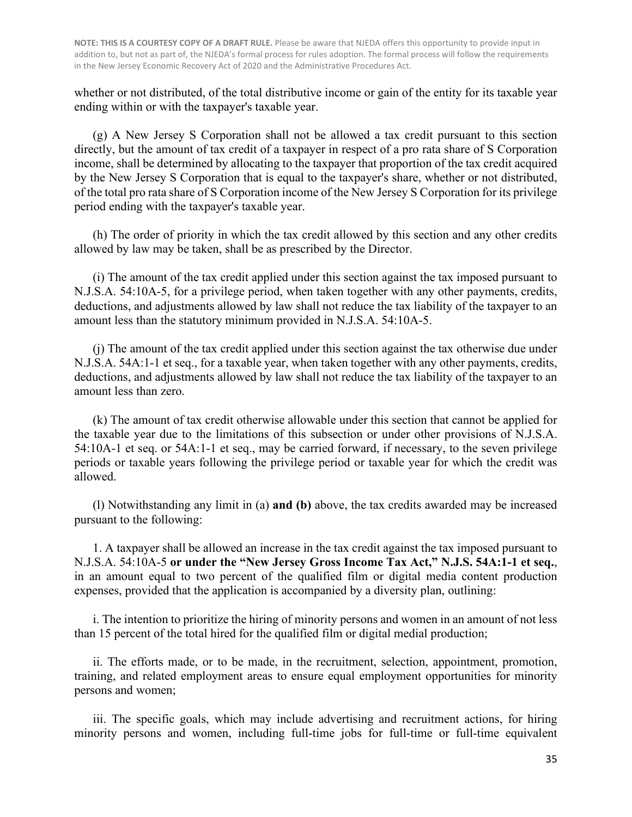whether or not distributed, of the total distributive income or gain of the entity for its taxable year ending within or with the taxpayer's taxable year.

(g) A New Jersey S Corporation shall not be allowed a tax credit pursuant to this section directly, but the amount of tax credit of a taxpayer in respect of a pro rata share of S Corporation income, shall be determined by allocating to the taxpayer that proportion of the tax credit acquired by the New Jersey S Corporation that is equal to the taxpayer's share, whether or not distributed, of the total pro rata share of S Corporation income of the New Jersey S Corporation for its privilege period ending with the taxpayer's taxable year.

(h) The order of priority in which the tax credit allowed by this section and any other credits allowed by law may be taken, shall be as prescribed by the Director.

(i) The amount of the tax credit applied under this section against the tax imposed pursuant to N.J.S.A. 54:10A-5, for a privilege period, when taken together with any other payments, credits, deductions, and adjustments allowed by law shall not reduce the tax liability of the taxpayer to an amount less than the statutory minimum provided in N.J.S.A. 54:10A-5.

(j) The amount of the tax credit applied under this section against the tax otherwise due under N.J.S.A. 54A:1-1 et seq., for a taxable year, when taken together with any other payments, credits, deductions, and adjustments allowed by law shall not reduce the tax liability of the taxpayer to an amount less than zero.

(k) The amount of tax credit otherwise allowable under this section that cannot be applied for the taxable year due to the limitations of this subsection or under other provisions of N.J.S.A. 54:10A-1 et seq. or 54A:1-1 et seq., may be carried forward, if necessary, to the seven privilege periods or taxable years following the privilege period or taxable year for which the credit was allowed.

(l) Notwithstanding any limit in (a) **and (b)** above, the tax credits awarded may be increased pursuant to the following:

1. A taxpayer shall be allowed an increase in the tax credit against the tax imposed pursuant to N.J.S.A. 54:10A-5 **or under the "New Jersey Gross Income Tax Act," N.J.S. 54A:1-1 et seq.**, in an amount equal to two percent of the qualified film or digital media content production expenses, provided that the application is accompanied by a diversity plan, outlining:

i. The intention to prioritize the hiring of minority persons and women in an amount of not less than 15 percent of the total hired for the qualified film or digital medial production;

ii. The efforts made, or to be made, in the recruitment, selection, appointment, promotion, training, and related employment areas to ensure equal employment opportunities for minority persons and women;

iii. The specific goals, which may include advertising and recruitment actions, for hiring minority persons and women, including full-time jobs for full-time or full-time equivalent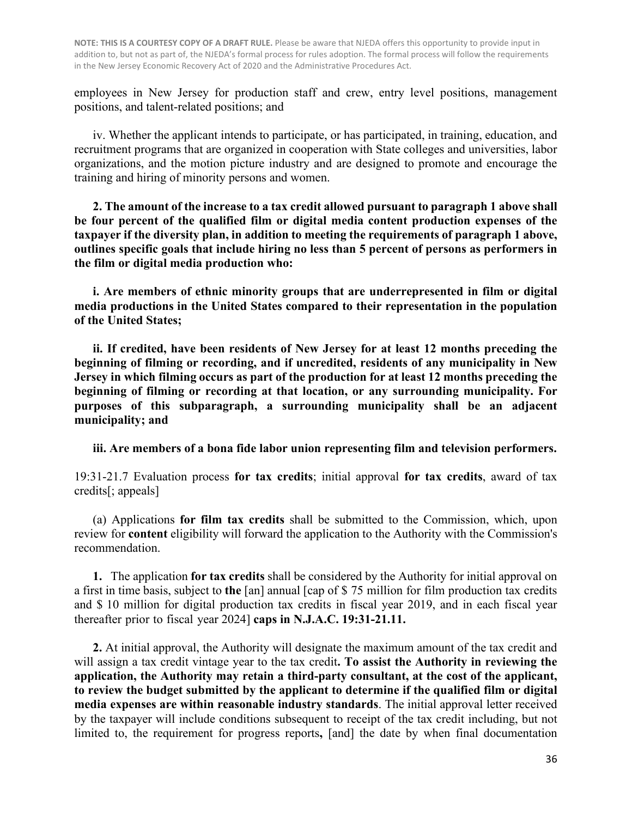employees in New Jersey for production staff and crew, entry level positions, management positions, and talent-related positions; and

iv. Whether the applicant intends to participate, or has participated, in training, education, and recruitment programs that are organized in cooperation with State colleges and universities, labor organizations, and the motion picture industry and are designed to promote and encourage the training and hiring of minority persons and women.

**2. The amount of the increase to a tax credit allowed pursuant to paragraph 1 above shall be four percent of the qualified film or digital media content production expenses of the taxpayer if the diversity plan, in addition to meeting the requirements of paragraph 1 above, outlines specific goals that include hiring no less than 5 percent of persons as performers in the film or digital media production who:**

**i. Are members of ethnic minority groups that are underrepresented in film or digital media productions in the United States compared to their representation in the population of the United States;**

**ii. If credited, have been residents of New Jersey for at least 12 months preceding the beginning of filming or recording, and if uncredited, residents of any municipality in New Jersey in which filming occurs as part of the production for at least 12 months preceding the beginning of filming or recording at that location, or any surrounding municipality. For purposes of this subparagraph, a surrounding municipality shall be an adjacent municipality; and**

**iii. Are members of a bona fide labor union representing film and television performers.**

19:31-21.7 Evaluation process **for tax credits**; initial approval **for tax credits**, award of tax credits[; appeals]

(a) Applications **for film tax credits** shall be submitted to the Commission, which, upon review for **content** eligibility will forward the application to the Authority with the Commission's recommendation.

**1.** The application **for tax credits** shall be considered by the Authority for initial approval on a first in time basis, subject to **the** [an] annual [cap of \$ 75 million for film production tax credits and \$ 10 million for digital production tax credits in fiscal year 2019, and in each fiscal year thereafter prior to fiscal year 2024] **caps in N.J.A.C. 19:31-21.11.**

**2.** At initial approval, the Authority will designate the maximum amount of the tax credit and will assign a tax credit vintage year to the tax credit**. To assist the Authority in reviewing the application, the Authority may retain a third-party consultant, at the cost of the applicant, to review the budget submitted by the applicant to determine if the qualified film or digital media expenses are within reasonable industry standards**. The initial approval letter received by the taxpayer will include conditions subsequent to receipt of the tax credit including, but not limited to, the requirement for progress reports**,** [and] the date by when final documentation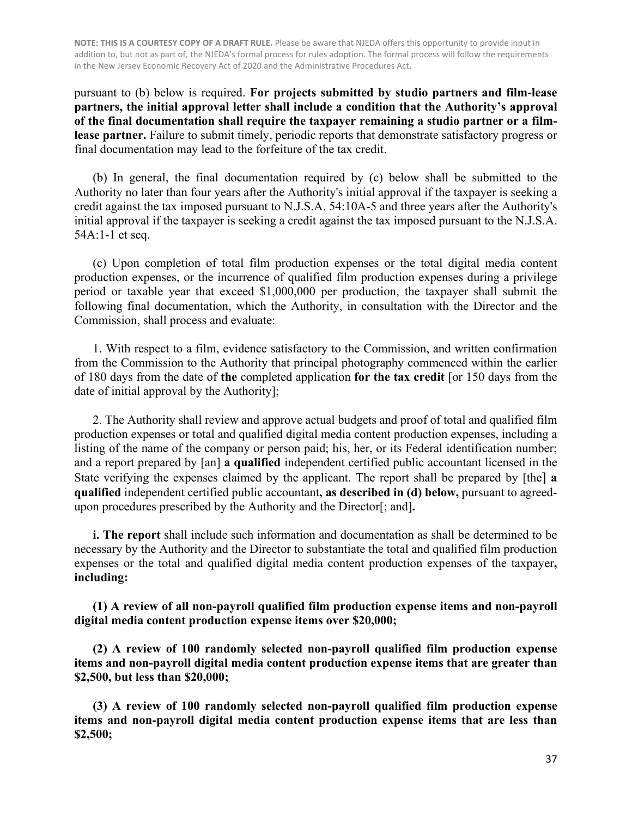pursuant to (b) below is required. **For projects submitted by studio partners and film-lease partners, the initial approval letter shall include a condition that the Authority's approval of the final documentation shall require the taxpayer remaining a studio partner or a filmlease partner.** Failure to submit timely, periodic reports that demonstrate satisfactory progress or final documentation may lead to the forfeiture of the tax credit.

(b) In general, the final documentation required by (c) below shall be submitted to the Authority no later than four years after the Authority's initial approval if the taxpayer is seeking a credit against the tax imposed pursuant to N.J.S.A. 54:10A-5 and three years after the Authority's initial approval if the taxpayer is seeking a credit against the tax imposed pursuant to the N.J.S.A. 54A:1-1 et seq.

(c) Upon completion of total film production expenses or the total digital media content production expenses, or the incurrence of qualified film production expenses during a privilege period or taxable year that exceed \$1,000,000 per production, the taxpayer shall submit the following final documentation, which the Authority, in consultation with the Director and the Commission, shall process and evaluate:

1. With respect to a film, evidence satisfactory to the Commission, and written confirmation from the Commission to the Authority that principal photography commenced within the earlier of 180 days from the date of **the** completed application **for the tax credit** [or 150 days from the date of initial approval by the Authority];

2. The Authority shall review and approve actual budgets and proof of total and qualified film production expenses or total and qualified digital media content production expenses, including a listing of the name of the company or person paid; his, her, or its Federal identification number; and a report prepared by [an] **a qualified** independent certified public accountant licensed in the State verifying the expenses claimed by the applicant. The report shall be prepared by [the] **a qualified** independent certified public accountant**, as described in (d) below,** pursuant to agreedupon procedures prescribed by the Authority and the Director[; and]**.**

**i. The report** shall include such information and documentation as shall be determined to be necessary by the Authority and the Director to substantiate the total and qualified film production expenses or the total and qualified digital media content production expenses of the taxpayer**, including:**

**(1) A review of all non-payroll qualified film production expense items and non-payroll digital media content production expense items over \$20,000;**

**(2) A review of 100 randomly selected non-payroll qualified film production expense items and non-payroll digital media content production expense items that are greater than \$2,500, but less than \$20,000;**

**(3) A review of 100 randomly selected non-payroll qualified film production expense items and non-payroll digital media content production expense items that are less than \$2,500;**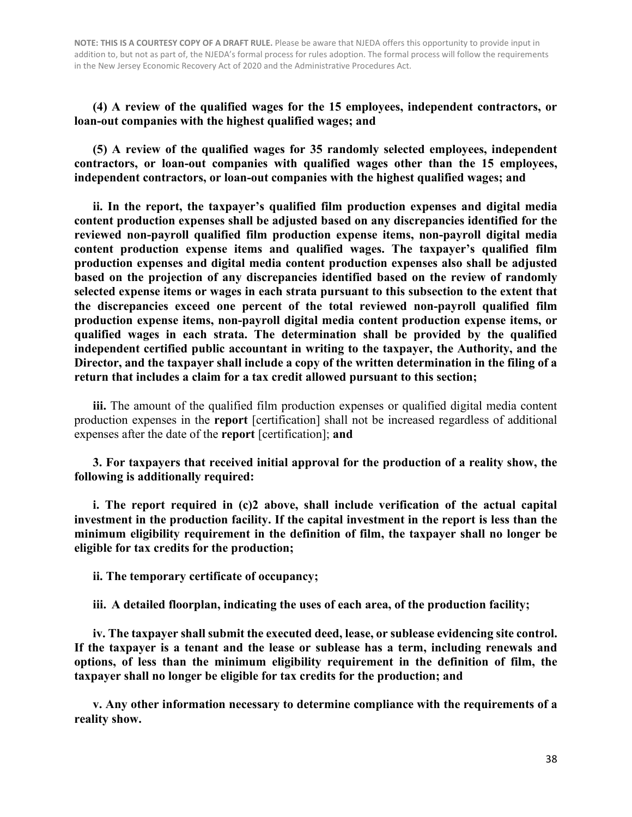**(4) A review of the qualified wages for the 15 employees, independent contractors, or loan-out companies with the highest qualified wages; and**

**(5) A review of the qualified wages for 35 randomly selected employees, independent contractors, or loan-out companies with qualified wages other than the 15 employees, independent contractors, or loan-out companies with the highest qualified wages; and**

**ii. In the report, the taxpayer's qualified film production expenses and digital media content production expenses shall be adjusted based on any discrepancies identified for the reviewed non-payroll qualified film production expense items, non-payroll digital media content production expense items and qualified wages. The taxpayer's qualified film production expenses and digital media content production expenses also shall be adjusted based on the projection of any discrepancies identified based on the review of randomly selected expense items or wages in each strata pursuant to this subsection to the extent that the discrepancies exceed one percent of the total reviewed non-payroll qualified film production expense items, non-payroll digital media content production expense items, or qualified wages in each strata. The determination shall be provided by the qualified independent certified public accountant in writing to the taxpayer, the Authority, and the Director, and the taxpayer shall include a copy of the written determination in the filing of a return that includes a claim for a tax credit allowed pursuant to this section;**

**iii.** The amount of the qualified film production expenses or qualified digital media content production expenses in the **report** [certification] shall not be increased regardless of additional expenses after the date of the **report** [certification]; **and**

**3. For taxpayers that received initial approval for the production of a reality show, the following is additionally required:**

**i. The report required in (c)2 above, shall include verification of the actual capital investment in the production facility. If the capital investment in the report is less than the minimum eligibility requirement in the definition of film, the taxpayer shall no longer be eligible for tax credits for the production;** 

**ii. The temporary certificate of occupancy;** 

**iii. A detailed floorplan, indicating the uses of each area, of the production facility;**

**iv. The taxpayer shall submit the executed deed, lease, or sublease evidencing site control. If the taxpayer is a tenant and the lease or sublease has a term, including renewals and options, of less than the minimum eligibility requirement in the definition of film, the taxpayer shall no longer be eligible for tax credits for the production; and**

**v. Any other information necessary to determine compliance with the requirements of a reality show.**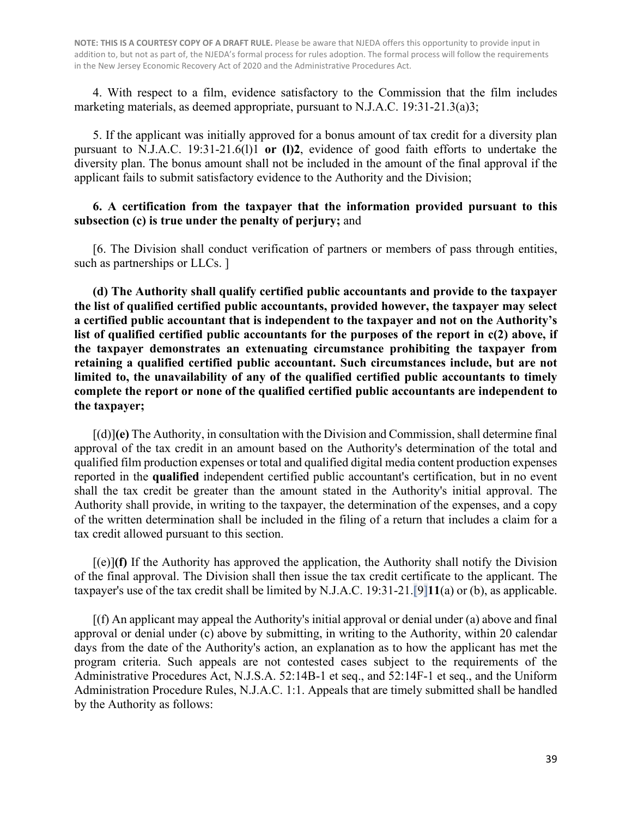4. With respect to a film, evidence satisfactory to the Commission that the film includes marketing materials, as deemed appropriate, pursuant to N.J.A.C. 19:31-21.3(a)3;

 5. If the applicant was initially approved for a bonus amount of tax credit for a diversity plan pursuant to N.J.A.C. 19:31-21.6(l)1 **or (l)2**, evidence of good faith efforts to undertake the diversity plan. The bonus amount shall not be included in the amount of the final approval if the applicant fails to submit satisfactory evidence to the Authority and the Division;

#### **6. A certification from the taxpayer that the information provided pursuant to this subsection (c) is true under the penalty of perjury;** and

 [6. The Division shall conduct verification of partners or members of pass through entities, such as partnerships or LLCs. ]

**(d) The Authority shall qualify certified public accountants and provide to the taxpayer the list of qualified certified public accountants, provided however, the taxpayer may select a certified public accountant that is independent to the taxpayer and not on the Authority's list of qualified certified public accountants for the purposes of the report in c(2) above, if the taxpayer demonstrates an extenuating circumstance prohibiting the taxpayer from retaining a qualified certified public accountant. Such circumstances include, but are not limited to, the unavailability of any of the qualified certified public accountants to timely complete the report or none of the qualified certified public accountants are independent to the taxpayer;** 

 [(d)]**(e)** The Authority, in consultation with the Division and Commission, shall determine final approval of the tax credit in an amount based on the Authority's determination of the total and qualified film production expenses or total and qualified digital media content production expenses reported in the **qualified** independent certified public accountant's certification, but in no event shall the tax credit be greater than the amount stated in the Authority's initial approval. The Authority shall provide, in writing to the taxpayer, the determination of the expenses, and a copy of the written determination shall be included in the filing of a return that includes a claim for a tax credit allowed pursuant to this section.

 $[(e)](f)$  If the Authority has approved the application, the Authority shall notify the Division of the final approval. The Division shall then issue the tax credit certificate to the applicant. The taxpayer's use of the tax credit shall be limited by N.J.A.C. 19:31-21.[9]**11**(a) or (b), as applicable.

 [(f) An applicant may appeal the Authority's initial approval or denial under (a) above and final approval or denial under (c) above by submitting, in writing to the Authority, within 20 calendar days from the date of the Authority's action, an explanation as to how the applicant has met the program criteria. Such appeals are not contested cases subject to the requirements of the Administrative Procedures Act, N.J.S.A. 52:14B-1 et seq., and 52:14F-1 et seq., and the Uniform Administration Procedure Rules, N.J.A.C. 1:1. Appeals that are timely submitted shall be handled by the Authority as follows: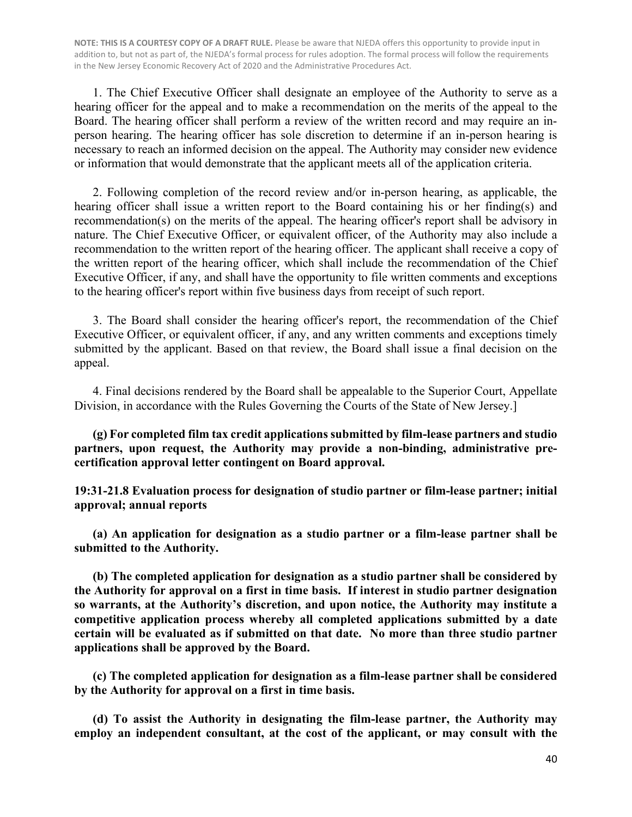1. The Chief Executive Officer shall designate an employee of the Authority to serve as a hearing officer for the appeal and to make a recommendation on the merits of the appeal to the Board. The hearing officer shall perform a review of the written record and may require an inperson hearing. The hearing officer has sole discretion to determine if an in-person hearing is necessary to reach an informed decision on the appeal. The Authority may consider new evidence or information that would demonstrate that the applicant meets all of the application criteria.

2. Following completion of the record review and/or in-person hearing, as applicable, the hearing officer shall issue a written report to the Board containing his or her finding(s) and recommendation(s) on the merits of the appeal. The hearing officer's report shall be advisory in nature. The Chief Executive Officer, or equivalent officer, of the Authority may also include a recommendation to the written report of the hearing officer. The applicant shall receive a copy of the written report of the hearing officer, which shall include the recommendation of the Chief Executive Officer, if any, and shall have the opportunity to file written comments and exceptions to the hearing officer's report within five business days from receipt of such report.

3. The Board shall consider the hearing officer's report, the recommendation of the Chief Executive Officer, or equivalent officer, if any, and any written comments and exceptions timely submitted by the applicant. Based on that review, the Board shall issue a final decision on the appeal.

4. Final decisions rendered by the Board shall be appealable to the Superior Court, Appellate Division, in accordance with the Rules Governing the Courts of the State of New Jersey.]

**(g) For completed film tax credit applications submitted by film-lease partners and studio partners, upon request, the Authority may provide a non-binding, administrative precertification approval letter contingent on Board approval.**

**19:31-21.8 Evaluation process for designation of studio partner or film-lease partner; initial approval; annual reports**

**(a) An application for designation as a studio partner or a film-lease partner shall be submitted to the Authority.** 

**(b) The completed application for designation as a studio partner shall be considered by the Authority for approval on a first in time basis. If interest in studio partner designation so warrants, at the Authority's discretion, and upon notice, the Authority may institute a competitive application process whereby all completed applications submitted by a date certain will be evaluated as if submitted on that date. No more than three studio partner applications shall be approved by the Board.**

**(c) The completed application for designation as a film-lease partner shall be considered by the Authority for approval on a first in time basis.**

**(d) To assist the Authority in designating the film-lease partner, the Authority may employ an independent consultant, at the cost of the applicant, or may consult with the**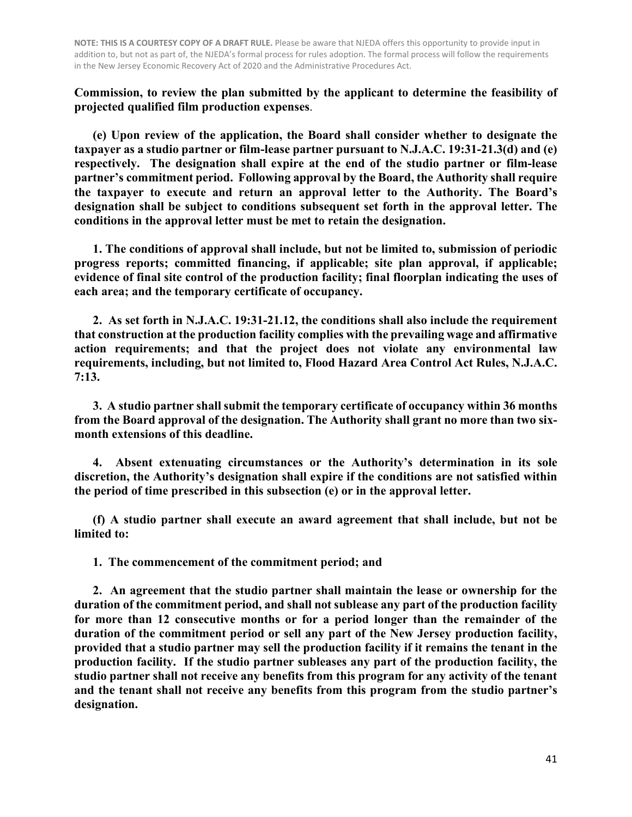**Commission, to review the plan submitted by the applicant to determine the feasibility of projected qualified film production expenses**.

**(e) Upon review of the application, the Board shall consider whether to designate the taxpayer as a studio partner or film-lease partner pursuant to N.J.A.C. 19:31-21.3(d) and (e) respectively. The designation shall expire at the end of the studio partner or film-lease partner's commitment period. Following approval by the Board, the Authority shall require the taxpayer to execute and return an approval letter to the Authority. The Board's designation shall be subject to conditions subsequent set forth in the approval letter. The conditions in the approval letter must be met to retain the designation.** 

**1. The conditions of approval shall include, but not be limited to, submission of periodic progress reports; committed financing, if applicable; site plan approval, if applicable; evidence of final site control of the production facility; final floorplan indicating the uses of each area; and the temporary certificate of occupancy.**

**2. As set forth in N.J.A.C. 19:31-21.12, the conditions shall also include the requirement that construction at the production facility complies with the prevailing wage and affirmative action requirements; and that the project does not violate any environmental law requirements, including, but not limited to, Flood Hazard Area Control Act Rules, N.J.A.C. 7:13.** 

**3. A studio partner shall submit the temporary certificate of occupancy within 36 months from the Board approval of the designation. The Authority shall grant no more than two sixmonth extensions of this deadline.**

**4. Absent extenuating circumstances or the Authority's determination in its sole discretion, the Authority's designation shall expire if the conditions are not satisfied within the period of time prescribed in this subsection (e) or in the approval letter.**

**(f) A studio partner shall execute an award agreement that shall include, but not be limited to:**

**1. The commencement of the commitment period; and**

**2. An agreement that the studio partner shall maintain the lease or ownership for the duration of the commitment period, and shall not sublease any part of the production facility for more than 12 consecutive months or for a period longer than the remainder of the duration of the commitment period or sell any part of the New Jersey production facility, provided that a studio partner may sell the production facility if it remains the tenant in the production facility. If the studio partner subleases any part of the production facility, the studio partner shall not receive any benefits from this program for any activity of the tenant and the tenant shall not receive any benefits from this program from the studio partner's designation.**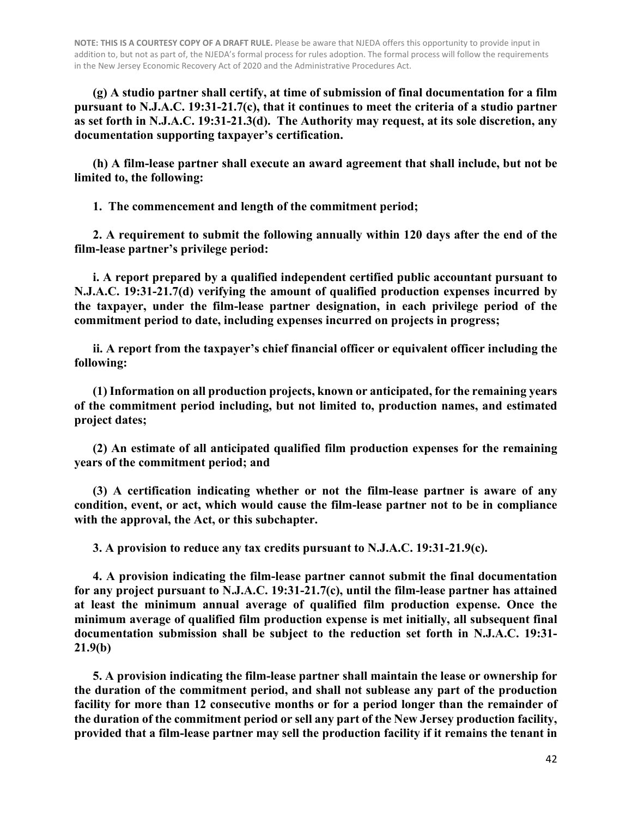**(g) A studio partner shall certify, at time of submission of final documentation for a film pursuant to N.J.A.C. 19:31-21.7(c), that it continues to meet the criteria of a studio partner as set forth in N.J.A.C. 19:31-21.3(d). The Authority may request, at its sole discretion, any documentation supporting taxpayer's certification.**

**(h) A film-lease partner shall execute an award agreement that shall include, but not be limited to, the following:** 

**1. The commencement and length of the commitment period;**

**2. A requirement to submit the following annually within 120 days after the end of the film-lease partner's privilege period:**

**i. A report prepared by a qualified independent certified public accountant pursuant to N.J.A.C. 19:31-21.7(d) verifying the amount of qualified production expenses incurred by the taxpayer, under the film-lease partner designation, in each privilege period of the commitment period to date, including expenses incurred on projects in progress;**

**ii. A report from the taxpayer's chief financial officer or equivalent officer including the following:**

**(1) Information on all production projects, known or anticipated, for the remaining years of the commitment period including, but not limited to, production names, and estimated project dates;**

**(2) An estimate of all anticipated qualified film production expenses for the remaining years of the commitment period; and**

**(3) A certification indicating whether or not the film-lease partner is aware of any condition, event, or act, which would cause the film-lease partner not to be in compliance with the approval, the Act, or this subchapter.**

**3. A provision to reduce any tax credits pursuant to N.J.A.C. 19:31-21.9(c).**

**4. A provision indicating the film-lease partner cannot submit the final documentation for any project pursuant to N.J.A.C. 19:31-21.7(c), until the film-lease partner has attained at least the minimum annual average of qualified film production expense. Once the minimum average of qualified film production expense is met initially, all subsequent final documentation submission shall be subject to the reduction set forth in N.J.A.C. 19:31- 21.9(b)**

**5. A provision indicating the film-lease partner shall maintain the lease or ownership for the duration of the commitment period, and shall not sublease any part of the production facility for more than 12 consecutive months or for a period longer than the remainder of the duration of the commitment period or sell any part of the New Jersey production facility, provided that a film-lease partner may sell the production facility if it remains the tenant in**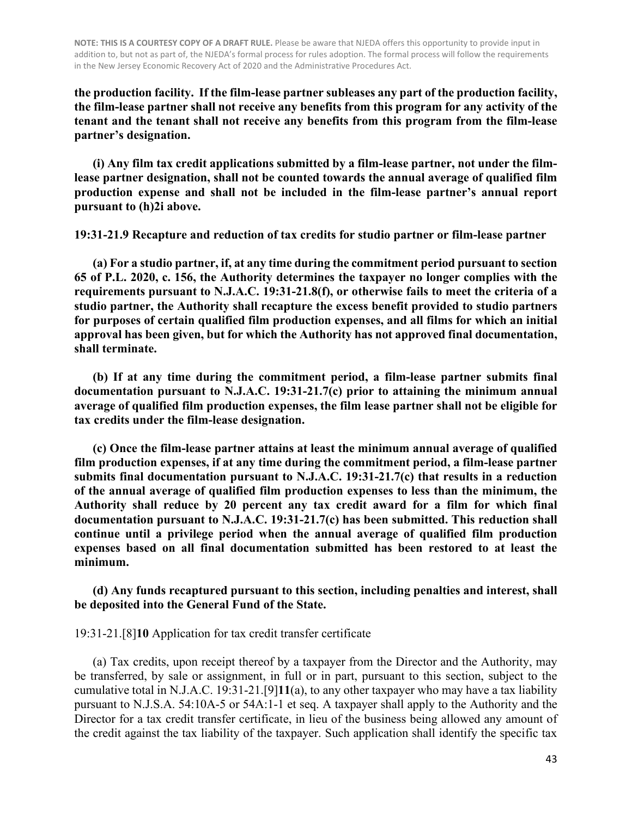**the production facility. If the film-lease partner subleases any part of the production facility, the film-lease partner shall not receive any benefits from this program for any activity of the tenant and the tenant shall not receive any benefits from this program from the film-lease partner's designation.**

**(i) Any film tax credit applications submitted by a film-lease partner, not under the filmlease partner designation, shall not be counted towards the annual average of qualified film production expense and shall not be included in the film-lease partner's annual report pursuant to (h)2i above.** 

**19:31-21.9 Recapture and reduction of tax credits for studio partner or film-lease partner**

**(a) For a studio partner, if, at any time during the commitment period pursuant to section 65 of P.L. 2020, c. 156, the Authority determines the taxpayer no longer complies with the requirements pursuant to N.J.A.C. 19:31-21.8(f), or otherwise fails to meet the criteria of a studio partner, the Authority shall recapture the excess benefit provided to studio partners for purposes of certain qualified film production expenses, and all films for which an initial approval has been given, but for which the Authority has not approved final documentation, shall terminate.**

**(b) If at any time during the commitment period, a film-lease partner submits final documentation pursuant to N.J.A.C. 19:31-21.7(c) prior to attaining the minimum annual average of qualified film production expenses, the film lease partner shall not be eligible for tax credits under the film-lease designation.**

**(c) Once the film-lease partner attains at least the minimum annual average of qualified film production expenses, if at any time during the commitment period, a film-lease partner submits final documentation pursuant to N.J.A.C. 19:31-21.7(c) that results in a reduction of the annual average of qualified film production expenses to less than the minimum, the Authority shall reduce by 20 percent any tax credit award for a film for which final documentation pursuant to N.J.A.C. 19:31-21.7(c) has been submitted. This reduction shall continue until a privilege period when the annual average of qualified film production expenses based on all final documentation submitted has been restored to at least the minimum.**

**(d) Any funds recaptured pursuant to this section, including penalties and interest, shall be deposited into the General Fund of the State.**

19:31-21.[8]**10** Application for tax credit transfer certificate

(a) Tax credits, upon receipt thereof by a taxpayer from the Director and the Authority, may be transferred, by sale or assignment, in full or in part, pursuant to this section, subject to the cumulative total in N.J.A.C. 19:31-21.[9]**11**(a), to any other taxpayer who may have a tax liability pursuant to N.J.S.A. 54:10A-5 or 54A:1-1 et seq. A taxpayer shall apply to the Authority and the Director for a tax credit transfer certificate, in lieu of the business being allowed any amount of the credit against the tax liability of the taxpayer. Such application shall identify the specific tax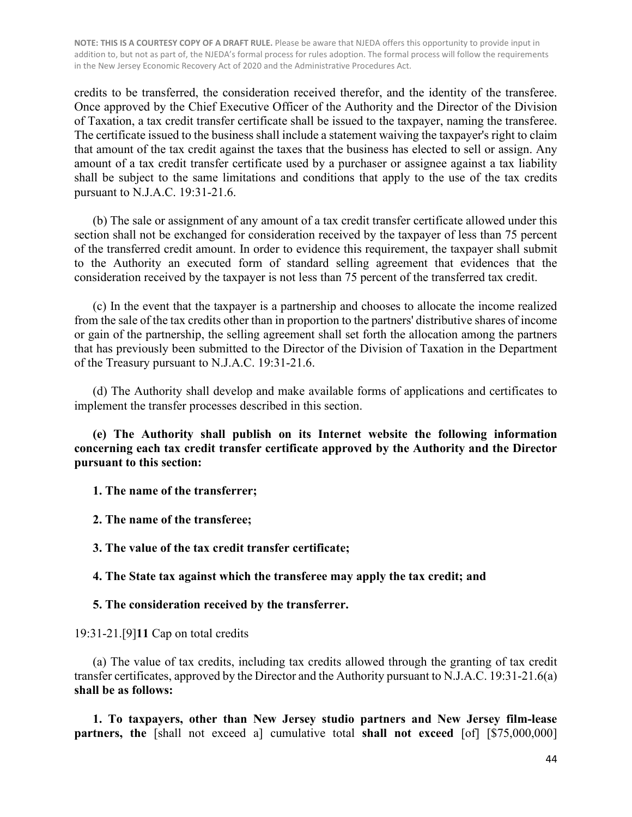credits to be transferred, the consideration received therefor, and the identity of the transferee. Once approved by the Chief Executive Officer of the Authority and the Director of the Division of Taxation, a tax credit transfer certificate shall be issued to the taxpayer, naming the transferee. The certificate issued to the business shall include a statement waiving the taxpayer's right to claim that amount of the tax credit against the taxes that the business has elected to sell or assign. Any amount of a tax credit transfer certificate used by a purchaser or assignee against a tax liability shall be subject to the same limitations and conditions that apply to the use of the tax credits pursuant to N.J.A.C. 19:31-21.6.

(b) The sale or assignment of any amount of a tax credit transfer certificate allowed under this section shall not be exchanged for consideration received by the taxpayer of less than 75 percent of the transferred credit amount. In order to evidence this requirement, the taxpayer shall submit to the Authority an executed form of standard selling agreement that evidences that the consideration received by the taxpayer is not less than 75 percent of the transferred tax credit.

(c) In the event that the taxpayer is a partnership and chooses to allocate the income realized from the sale of the tax credits other than in proportion to the partners' distributive shares of income or gain of the partnership, the selling agreement shall set forth the allocation among the partners that has previously been submitted to the Director of the Division of Taxation in the Department of the Treasury pursuant to N.J.A.C. 19:31-21.6.

(d) The Authority shall develop and make available forms of applications and certificates to implement the transfer processes described in this section.

**(e) The Authority shall publish on its Internet website the following information concerning each tax credit transfer certificate approved by the Authority and the Director pursuant to this section:**

**1. The name of the transferrer;** 

**2. The name of the transferee;** 

**3. The value of the tax credit transfer certificate;** 

**4. The State tax against which the transferee may apply the tax credit; and** 

#### **5. The consideration received by the transferrer.**

19:31-21.[9]**11** Cap on total credits

(a) The value of tax credits, including tax credits allowed through the granting of tax credit transfer certificates, approved by the Director and the Authority pursuant to N.J.A.C. 19:31-21.6(a) **shall be as follows:**

**1. To taxpayers, other than New Jersey studio partners and New Jersey film-lease partners, the** [shall not exceed a] cumulative total **shall not exceed** [of] [\$75,000,000]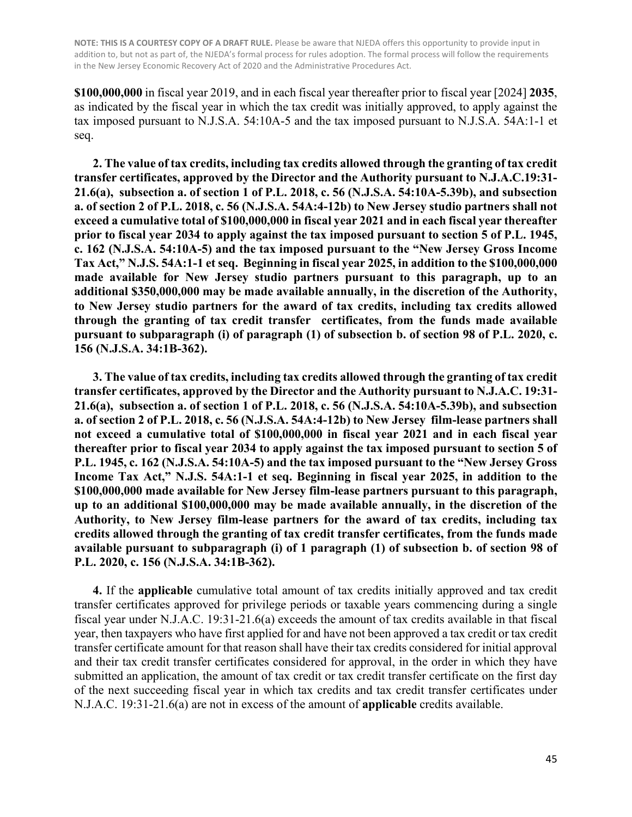**\$100,000,000** in fiscal year 2019, and in each fiscal year thereafter prior to fiscal year [2024] **2035**, as indicated by the fiscal year in which the tax credit was initially approved, to apply against the tax imposed pursuant to N.J.S.A. 54:10A-5 and the tax imposed pursuant to N.J.S.A. 54A:1-1 et seq.

**2. The value of tax credits, including tax credits allowed through the granting of tax credit transfer certificates, approved by the Director and the Authority pursuant to N.J.A.C.19:31- 21.6(a), subsection a. of section 1 of P.L. 2018, c. 56 (N.J.S.A. 54:10A-5.39b), and subsection a. of section 2 of P.L. 2018, c. 56 (N.J.S.A. 54A:4-12b) to New Jersey studio partners shall not exceed a cumulative total of \$100,000,000 in fiscal year 2021 and in each fiscal year thereafter prior to fiscal year 2034 to apply against the tax imposed pursuant to section 5 of P.L. 1945, c. 162 (N.J.S.A. 54:10A-5) and the tax imposed pursuant to the "New Jersey Gross Income Tax Act," N.J.S. 54A:1-1 et seq. Beginning in fiscal year 2025, in addition to the \$100,000,000 made available for New Jersey studio partners pursuant to this paragraph, up to an additional \$350,000,000 may be made available annually, in the discretion of the Authority, to New Jersey studio partners for the award of tax credits, including tax credits allowed through the granting of tax credit transfer certificates, from the funds made available pursuant to subparagraph (i) of paragraph (1) of subsection b. of section 98 of P.L. 2020, c. 156 (N.J.S.A. 34:1B-362).**

**3. The value of tax credits, including tax credits allowed through the granting of tax credit transfer certificates, approved by the Director and the Authority pursuant to N.J.A.C. 19:31- 21.6(a), subsection a. of section 1 of P.L. 2018, c. 56 (N.J.S.A. 54:10A-5.39b), and subsection a. of section 2 of P.L. 2018, c. 56 (N.J.S.A. 54A:4-12b) to New Jersey film-lease partners shall not exceed a cumulative total of \$100,000,000 in fiscal year 2021 and in each fiscal year thereafter prior to fiscal year 2034 to apply against the tax imposed pursuant to section 5 of P.L. 1945, c. 162 (N.J.S.A. 54:10A-5) and the tax imposed pursuant to the "New Jersey Gross Income Tax Act," N.J.S. 54A:1-1 et seq. Beginning in fiscal year 2025, in addition to the \$100,000,000 made available for New Jersey film-lease partners pursuant to this paragraph, up to an additional \$100,000,000 may be made available annually, in the discretion of the Authority, to New Jersey film-lease partners for the award of tax credits, including tax credits allowed through the granting of tax credit transfer certificates, from the funds made available pursuant to subparagraph (i) of 1 paragraph (1) of subsection b. of section 98 of P.L. 2020, c. 156 (N.J.S.A. 34:1B-362).**

**4.** If the **applicable** cumulative total amount of tax credits initially approved and tax credit transfer certificates approved for privilege periods or taxable years commencing during a single fiscal year under N.J.A.C. 19:31-21.6(a) exceeds the amount of tax credits available in that fiscal year, then taxpayers who have first applied for and have not been approved a tax credit or tax credit transfer certificate amount for that reason shall have their tax credits considered for initial approval and their tax credit transfer certificates considered for approval, in the order in which they have submitted an application, the amount of tax credit or tax credit transfer certificate on the first day of the next succeeding fiscal year in which tax credits and tax credit transfer certificates under N.J.A.C. 19:31-21.6(a) are not in excess of the amount of **applicable** credits available.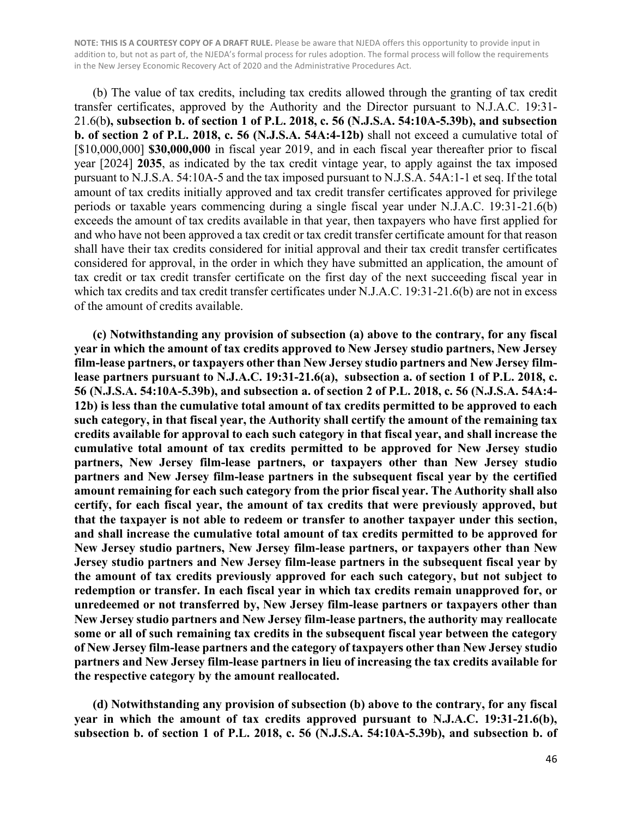(b) The value of tax credits, including tax credits allowed through the granting of tax credit transfer certificates, approved by the Authority and the Director pursuant to N.J.A.C. 19:31- 21.6(b**), subsection b. of section 1 of P.L. 2018, c. 56 (N.J.S.A. 54:10A-5.39b), and subsection b. of section 2 of P.L. 2018, c. 56 (N.J.S.A. 54A:4-12b)** shall not exceed a cumulative total of [\$10,000,000] **\$30,000,000** in fiscal year 2019, and in each fiscal year thereafter prior to fiscal year [2024] **2035**, as indicated by the tax credit vintage year, to apply against the tax imposed pursuant to N.J.S.A. 54:10A-5 and the tax imposed pursuant to N.J.S.A. 54A:1-1 et seq. If the total amount of tax credits initially approved and tax credit transfer certificates approved for privilege periods or taxable years commencing during a single fiscal year under N.J.A.C. 19:31-21.6(b) exceeds the amount of tax credits available in that year, then taxpayers who have first applied for and who have not been approved a tax credit or tax credit transfer certificate amount for that reason shall have their tax credits considered for initial approval and their tax credit transfer certificates considered for approval, in the order in which they have submitted an application, the amount of tax credit or tax credit transfer certificate on the first day of the next succeeding fiscal year in which tax credits and tax credit transfer certificates under N.J.A.C. 19:31-21.6(b) are not in excess of the amount of credits available.

**(c) Notwithstanding any provision of subsection (a) above to the contrary, for any fiscal year in which the amount of tax credits approved to New Jersey studio partners, New Jersey film-lease partners, or taxpayers other than New Jersey studio partners and New Jersey filmlease partners pursuant to N.J.A.C. 19:31-21.6(a), subsection a. of section 1 of P.L. 2018, c. 56 (N.J.S.A. 54:10A-5.39b), and subsection a. of section 2 of P.L. 2018, c. 56 (N.J.S.A. 54A:4- 12b) is less than the cumulative total amount of tax credits permitted to be approved to each such category, in that fiscal year, the Authority shall certify the amount of the remaining tax credits available for approval to each such category in that fiscal year, and shall increase the cumulative total amount of tax credits permitted to be approved for New Jersey studio partners, New Jersey film-lease partners, or taxpayers other than New Jersey studio partners and New Jersey film-lease partners in the subsequent fiscal year by the certified amount remaining for each such category from the prior fiscal year. The Authority shall also certify, for each fiscal year, the amount of tax credits that were previously approved, but that the taxpayer is not able to redeem or transfer to another taxpayer under this section, and shall increase the cumulative total amount of tax credits permitted to be approved for New Jersey studio partners, New Jersey film-lease partners, or taxpayers other than New Jersey studio partners and New Jersey film-lease partners in the subsequent fiscal year by the amount of tax credits previously approved for each such category, but not subject to redemption or transfer. In each fiscal year in which tax credits remain unapproved for, or unredeemed or not transferred by, New Jersey film-lease partners or taxpayers other than New Jersey studio partners and New Jersey film-lease partners, the authority may reallocate some or all of such remaining tax credits in the subsequent fiscal year between the category of New Jersey film-lease partners and the category of taxpayers other than New Jersey studio partners and New Jersey film-lease partners in lieu of increasing the tax credits available for the respective category by the amount reallocated.**

**(d) Notwithstanding any provision of subsection (b) above to the contrary, for any fiscal year in which the amount of tax credits approved pursuant to N.J.A.C. 19:31-21.6(b), subsection b. of section 1 of P.L. 2018, c. 56 (N.J.S.A. 54:10A-5.39b), and subsection b. of**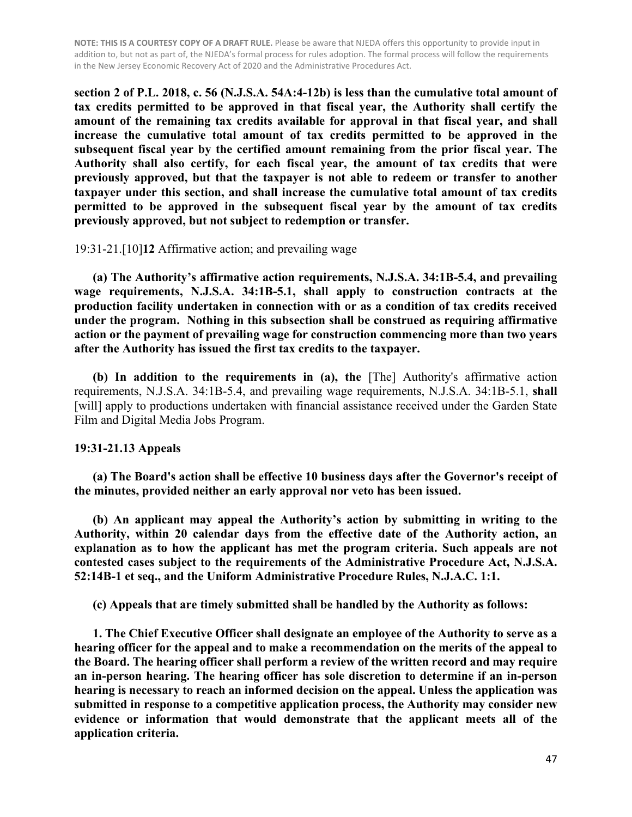**section 2 of P.L. 2018, c. 56 (N.J.S.A. 54A:4-12b) is less than the cumulative total amount of tax credits permitted to be approved in that fiscal year, the Authority shall certify the amount of the remaining tax credits available for approval in that fiscal year, and shall increase the cumulative total amount of tax credits permitted to be approved in the subsequent fiscal year by the certified amount remaining from the prior fiscal year. The Authority shall also certify, for each fiscal year, the amount of tax credits that were previously approved, but that the taxpayer is not able to redeem or transfer to another taxpayer under this section, and shall increase the cumulative total amount of tax credits permitted to be approved in the subsequent fiscal year by the amount of tax credits previously approved, but not subject to redemption or transfer.**

#### 19:31-21.[10]**12** Affirmative action; and prevailing wage

**(a) The Authority's affirmative action requirements, N.J.S.A. 34:1B-5.4, and prevailing wage requirements, N.J.S.A. 34:1B-5.1, shall apply to construction contracts at the production facility undertaken in connection with or as a condition of tax credits received under the program. Nothing in this subsection shall be construed as requiring affirmative action or the payment of prevailing wage for construction commencing more than two years after the Authority has issued the first tax credits to the taxpayer.**

**(b) In addition to the requirements in (a), the** [The] Authority's affirmative action requirements, N.J.S.A. 34:1B-5.4, and prevailing wage requirements, N.J.S.A. 34:1B-5.1, **shall** [will] apply to productions undertaken with financial assistance received under the Garden State Film and Digital Media Jobs Program.

#### **19:31-21.13 Appeals**

 **(a) The Board's action shall be effective 10 business days after the Governor's receipt of the minutes, provided neither an early approval nor veto has been issued.**

 **(b) An applicant may appeal the Authority's action by submitting in writing to the Authority, within 20 calendar days from the effective date of the Authority action, an explanation as to how the applicant has met the program criteria. Such appeals are not contested cases subject to the requirements of the Administrative Procedure Act, N.J.S.A. 52:14B-1 et seq., and the Uniform Administrative Procedure Rules, N.J.A.C. 1:1.**

 **(c) Appeals that are timely submitted shall be handled by the Authority as follows:**

 **1. The Chief Executive Officer shall designate an employee of the Authority to serve as a hearing officer for the appeal and to make a recommendation on the merits of the appeal to the Board. The hearing officer shall perform a review of the written record and may require an in-person hearing. The hearing officer has sole discretion to determine if an in-person hearing is necessary to reach an informed decision on the appeal. Unless the application was submitted in response to a competitive application process, the Authority may consider new evidence or information that would demonstrate that the applicant meets all of the application criteria.**